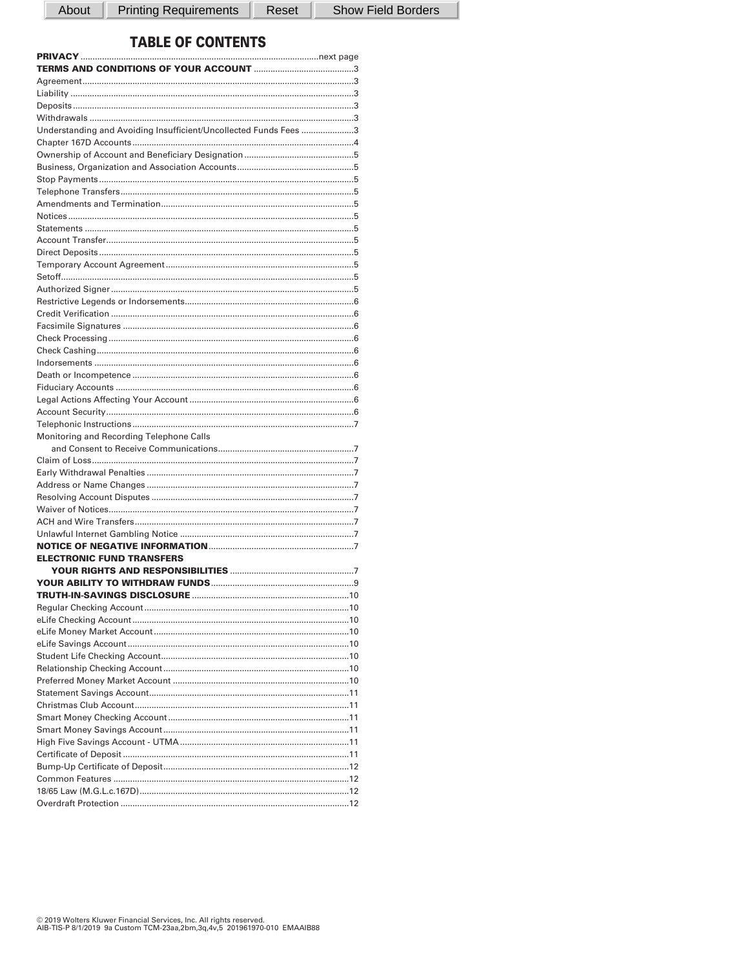About

**Printing Requirements** 

Reset

Show Field Borders

# **TABLE OF CONTENTS**

| Understanding and Avoiding Insufficient/Uncollected Funds Fees 3 |  |
|------------------------------------------------------------------|--|
|                                                                  |  |
|                                                                  |  |
|                                                                  |  |
|                                                                  |  |
|                                                                  |  |
|                                                                  |  |
|                                                                  |  |
|                                                                  |  |
|                                                                  |  |
|                                                                  |  |
|                                                                  |  |
|                                                                  |  |
|                                                                  |  |
|                                                                  |  |
|                                                                  |  |
|                                                                  |  |
|                                                                  |  |
|                                                                  |  |
|                                                                  |  |
|                                                                  |  |
|                                                                  |  |
|                                                                  |  |
|                                                                  |  |
|                                                                  |  |
| Monitoring and Recording Telephone Calls                         |  |
|                                                                  |  |
|                                                                  |  |
|                                                                  |  |
|                                                                  |  |
|                                                                  |  |
|                                                                  |  |
|                                                                  |  |
|                                                                  |  |
|                                                                  |  |
| <b>ELECTRONIC FUND TRANSFERS</b>                                 |  |
|                                                                  |  |
|                                                                  |  |
|                                                                  |  |
|                                                                  |  |
|                                                                  |  |
|                                                                  |  |
|                                                                  |  |
|                                                                  |  |
|                                                                  |  |
|                                                                  |  |
|                                                                  |  |
|                                                                  |  |
|                                                                  |  |
|                                                                  |  |
|                                                                  |  |
|                                                                  |  |
|                                                                  |  |
|                                                                  |  |
|                                                                  |  |
|                                                                  |  |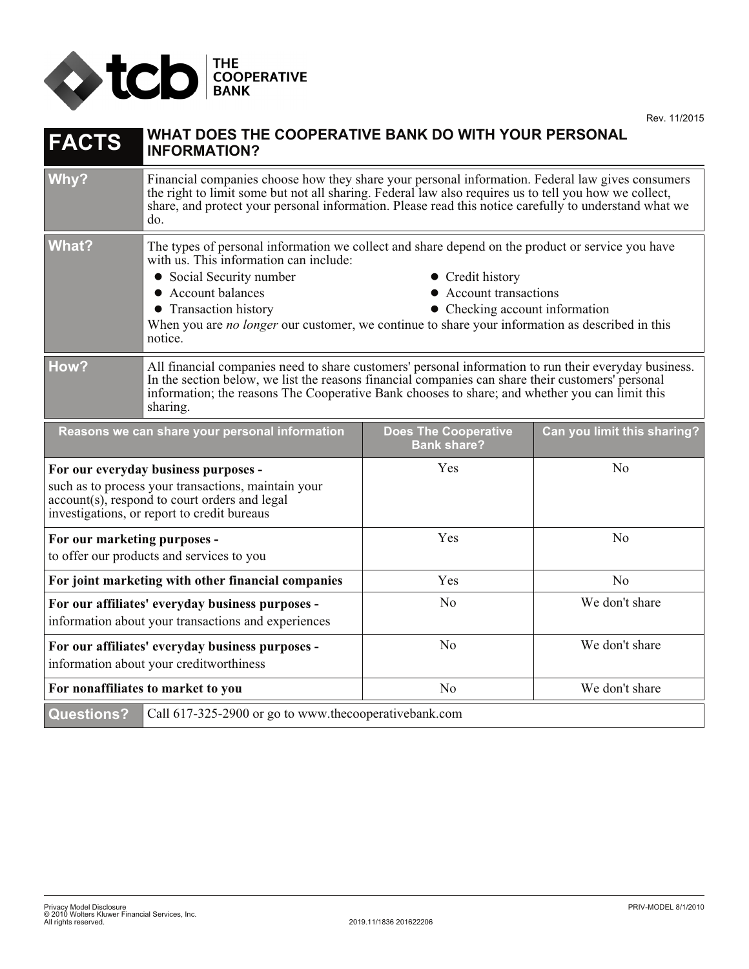

| <b>FACTS</b>                                                                                                                                                                                | WHAT DOES THE COOPERATIVE BANK DO WITH YOUR PERSONAL<br><b>INFORMATION?</b>                                                                                                                                                                                                                                               |                                                   |                             |
|---------------------------------------------------------------------------------------------------------------------------------------------------------------------------------------------|---------------------------------------------------------------------------------------------------------------------------------------------------------------------------------------------------------------------------------------------------------------------------------------------------------------------------|---------------------------------------------------|-----------------------------|
| Why?                                                                                                                                                                                        | Financial companies choose how they share your personal information. Federal law gives consumers<br>the right to limit some but not all sharing. Federal law also requires us to tell you how we collect,<br>share, and protect your personal information. Please read this notice carefully to understand what we<br>do. |                                                   |                             |
| <b>What?</b>                                                                                                                                                                                | The types of personal information we collect and share depend on the product or service you have<br>with us. This information can include:                                                                                                                                                                                |                                                   |                             |
|                                                                                                                                                                                             | • Social Security number<br>• Credit history<br>• Account balances<br>• Account transactions<br>• Checking account information<br>• Transaction history<br>When you are no longer our customer, we continue to share your information as described in this<br>notice.                                                     |                                                   |                             |
| How?                                                                                                                                                                                        | All financial companies need to share customers' personal information to run their everyday business.<br>In the section below, we list the reasons financial companies can share their customers' personal<br>information; the reasons The Cooperative Bank chooses to share; and whether you can limit this<br>sharing.  |                                                   |                             |
| Reasons we can share your personal information                                                                                                                                              |                                                                                                                                                                                                                                                                                                                           | <b>Does The Cooperative</b><br><b>Bank share?</b> | Can you limit this sharing? |
| For our everyday business purposes -<br>such as to process your transactions, maintain your<br>account(s), respond to court orders and legal<br>investigations, or report to credit bureaus |                                                                                                                                                                                                                                                                                                                           | Yes                                               | N <sub>o</sub>              |
| For our marketing purposes -<br>to offer our products and services to you                                                                                                                   |                                                                                                                                                                                                                                                                                                                           | Yes                                               | No                          |
| For joint marketing with other financial companies                                                                                                                                          |                                                                                                                                                                                                                                                                                                                           | Yes                                               | No                          |
| For our affiliates' everyday business purposes -<br>information about your transactions and experiences                                                                                     |                                                                                                                                                                                                                                                                                                                           | N <sub>o</sub>                                    | We don't share              |
| For our affiliates' everyday business purposes -<br>information about your creditworthiness                                                                                                 |                                                                                                                                                                                                                                                                                                                           | N <sub>o</sub>                                    | We don't share              |
| For nonaffiliates to market to you                                                                                                                                                          |                                                                                                                                                                                                                                                                                                                           | N <sub>o</sub>                                    | We don't share              |
| <b>Questions?</b><br>Call 617-325-2900 or go to www.thecooperativebank.com                                                                                                                  |                                                                                                                                                                                                                                                                                                                           |                                                   |                             |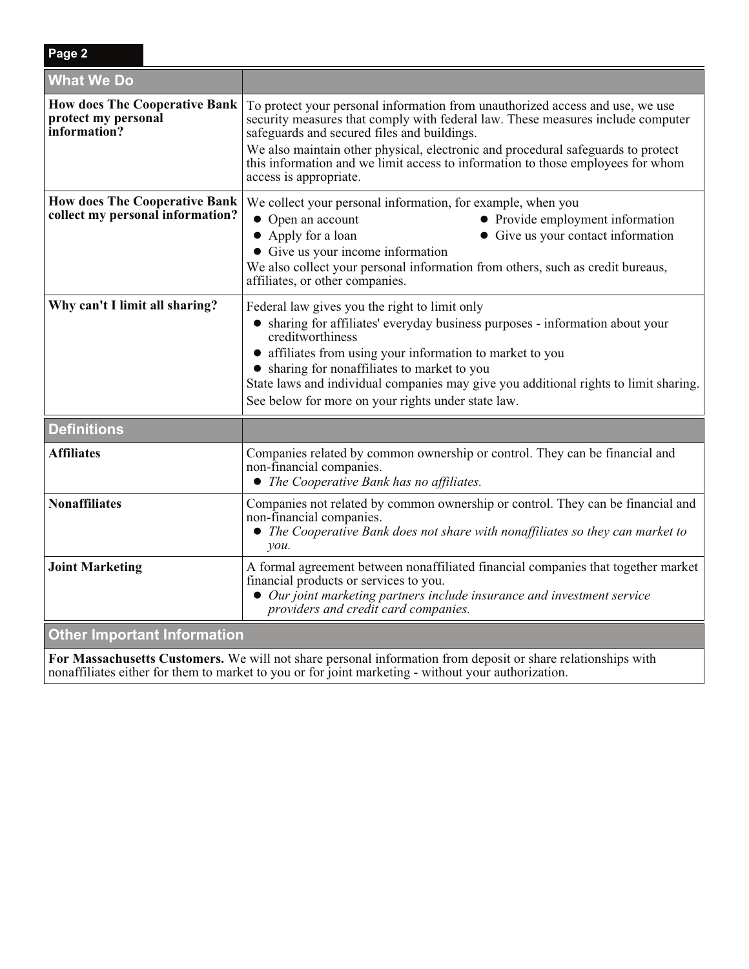| Page 2                                                                      |                                                                                                                                                                                                                                                                                                                                                                                                                  |  |  |
|-----------------------------------------------------------------------------|------------------------------------------------------------------------------------------------------------------------------------------------------------------------------------------------------------------------------------------------------------------------------------------------------------------------------------------------------------------------------------------------------------------|--|--|
| <b>What We Do</b>                                                           |                                                                                                                                                                                                                                                                                                                                                                                                                  |  |  |
| <b>How does The Cooperative Bank</b><br>protect my personal<br>information? | To protect your personal information from unauthorized access and use, we use<br>security measures that comply with federal law. These measures include computer<br>safeguards and secured files and buildings.<br>We also maintain other physical, electronic and procedural safeguards to protect<br>this information and we limit access to information to those employees for whom<br>access is appropriate. |  |  |
| <b>How does The Cooperative Bank</b><br>collect my personal information?    | We collect your personal information, for example, when you<br>• Open an account<br>• Provide employment information<br>• Give us your contact information<br>• Apply for a loan<br>• Give us your income information<br>We also collect your personal information from others, such as credit bureaus,<br>affiliates, or other companies.                                                                       |  |  |
| Why can't I limit all sharing?                                              | Federal law gives you the right to limit only<br>• sharing for affiliates' everyday business purposes - information about your<br>creditworthiness<br>• affiliates from using your information to market to you<br>• sharing for nonaffiliates to market to you<br>State laws and individual companies may give you additional rights to limit sharing.<br>See below for more on your rights under state law.    |  |  |
| <b>Definitions</b>                                                          |                                                                                                                                                                                                                                                                                                                                                                                                                  |  |  |
| Affiliates                                                                  | Companies related by common ownership or control. They can be financial and<br>non-financial companies.<br>• The Cooperative Bank has no affiliates.                                                                                                                                                                                                                                                             |  |  |
| <b>Nonaffiliates</b>                                                        | Companies not related by common ownership or control. They can be financial and<br>non-financial companies.<br>The Cooperative Bank does not share with nonaffiliates so they can market to<br>$\mathcal{V}$ <i>ou</i> .                                                                                                                                                                                         |  |  |
| <b>Joint Marketing</b>                                                      | A formal agreement between nonaffiliated financial companies that together market<br>financial products or services to you.<br>• Our joint marketing partners include insurance and investment service<br>providers and credit card companies.                                                                                                                                                                   |  |  |
| <b>Other Important Information</b>                                          |                                                                                                                                                                                                                                                                                                                                                                                                                  |  |  |

**For Massachusetts Customers.** We will not share personal information from deposit or share relationships with nonaffiliates either for them to market to you or for joint marketing - without your authorization.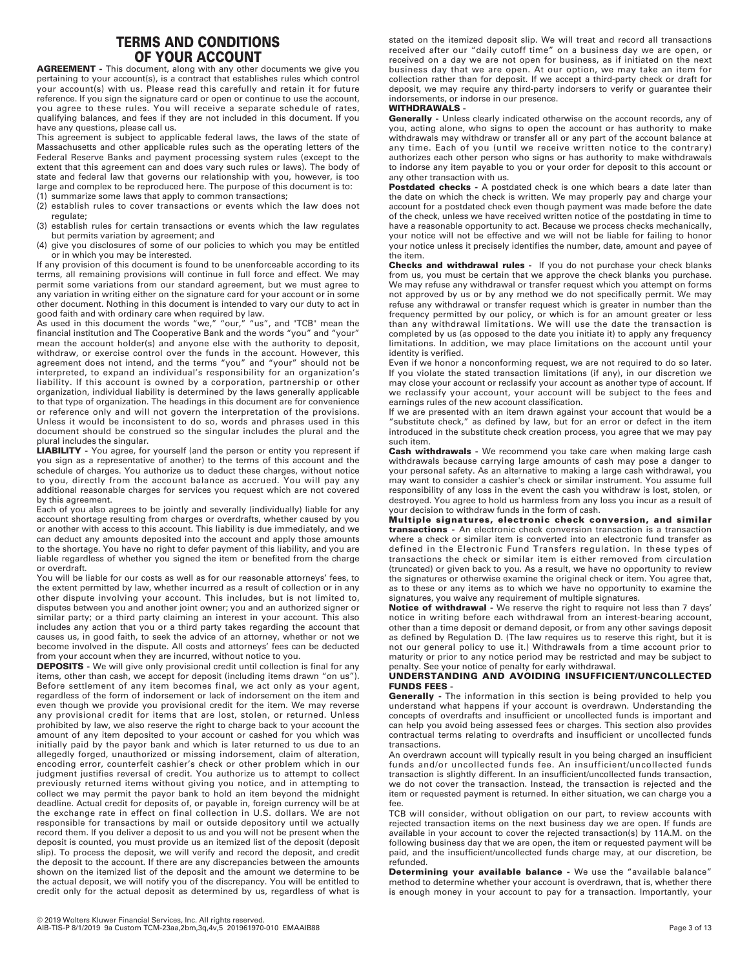# **TERMS AND CONDITIONS OF YOUR ACCOUNT**

**AGREEMENT -** This document, along with any other documents we give you pertaining to your account(s), is a contract that establishes rules which control your account(s) with us. Please read this carefully and retain it for future reference. If you sign the signature card or open or continue to use the account, you agree to these rules. You will receive a separate schedule of rates, qualifying balances, and fees if they are not included in this document. If you have any questions, please call us.

This agreement is subject to applicable federal laws, the laws of the state of Massachusetts and other applicable rules such as the operating letters of the Federal Reserve Banks and payment processing system rules (except to the extent that this agreement can and does vary such rules or laws). The body of state and federal law that governs our relationship with you, however, is too large and complex to be reproduced here. The purpose of this document is to:

- (1) summarize some laws that apply to common transactions;
- (2) establish rules to cover transactions or events which the law does not regulate;
- (3) establish rules for certain transactions or events which the law regulates but permits variation by agreement; and
- (4) give you disclosures of some of our policies to which you may be entitled or in which you may be interested.

If any provision of this document is found to be unenforceable according to its terms, all remaining provisions will continue in full force and effect. We may permit some variations from our standard agreement, but we must agree to any variation in writing either on the signature card for your account or in some other document. Nothing in this document is intended to vary our duty to act in good faith and with ordinary care when required by law.

As used in this document the words "we," "our," "us", and "TCB" mean the financial institution and The Cooperative Bank and the words "you" and "your" mean the account holder(s) and anyone else with the authority to deposit, withdraw, or exercise control over the funds in the account. However, this agreement does not intend, and the terms "you" and "your" should not be interpreted, to expand an individual's responsibility for an organization's liability. If this account is owned by a corporation, partnership or other organization, individual liability is determined by the laws generally applicable to that type of organization. The headings in this document are for convenience or reference only and will not govern the interpretation of the provisions. Unless it would be inconsistent to do so, words and phrases used in this document should be construed so the singular includes the plural and the plural includes the singular.

**LIABILITY -** You agree, for yourself (and the person or entity you represent if you sign as a representative of another) to the terms of this account and the schedule of charges. You authorize us to deduct these charges, without notice to you, directly from the account balance as accrued. You will pay any additional reasonable charges for services you request which are not covered by this agreement.

Each of you also agrees to be jointly and severally (individually) liable for any account shortage resulting from charges or overdrafts, whether caused by you or another with access to this account. This liability is due immediately, and we can deduct any amounts deposited into the account and apply those amounts to the shortage. You have no right to defer payment of this liability, and you are liable regardless of whether you signed the item or benefited from the charge or overdraft.

You will be liable for our costs as well as for our reasonable attorneys' fees, to the extent permitted by law, whether incurred as a result of collection or in any other dispute involving your account. This includes, but is not limited to, disputes between you and another joint owner; you and an authorized signer or similar party; or a third party claiming an interest in your account. This also includes any action that you or a third party takes regarding the account that causes us, in good faith, to seek the advice of an attorney, whether or not we become involved in the dispute. All costs and attorneys' fees can be deducted from your account when they are incurred, without notice to you.

**DEPOSITS** - We will give only provisional credit until collection is final for any items, other than cash, we accept for deposit (including items drawn "on us"). Before settlement of any item becomes final, we act only as your agent, regardless of the form of indorsement or lack of indorsement on the item and even though we provide you provisional credit for the item. We may reverse any provisional credit for items that are lost, stolen, or returned. Unless prohibited by law, we also reserve the right to charge back to your account the amount of any item deposited to your account or cashed for you which was initially paid by the payor bank and which is later returned to us due to an allegedly forged, unauthorized or missing indorsement, claim of alteration, encoding error, counterfeit cashier's check or other problem which in our judgment justifies reversal of credit. You authorize us to attempt to collect previously returned items without giving you notice, and in attempting to collect we may permit the payor bank to hold an item beyond the midnight deadline. Actual credit for deposits of, or payable in, foreign currency will be at the exchange rate in effect on final collection in U.S. dollars. We are not responsible for transactions by mail or outside depository until we actually record them. If you deliver a deposit to us and you will not be present when the deposit is counted, you must provide us an itemized list of the deposit (deposit slip). To process the deposit, we will verify and record the deposit, and credit the deposit to the account. If there are any discrepancies between the amounts shown on the itemized list of the deposit and the amount we determine to be the actual deposit, we will notify you of the discrepancy. You will be entitled to credit only for the actual deposit as determined by us, regardless of what is

# **WITHDRAWALS -**

**Generally -** Unless clearly indicated otherwise on the account records, any of you, acting alone, who signs to open the account or has authority to make withdrawals may withdraw or transfer all or any part of the account balance at any time. Each of you (until we receive written notice to the contrary) authorizes each other person who signs or has authority to make withdrawals to indorse any item payable to you or your order for deposit to this account or any other transaction with us.

Postdated checks - A postdated check is one which bears a date later than the date on which the check is written. We may properly pay and charge your account for a postdated check even though payment was made before the date of the check, unless we have received written notice of the postdating in time to have a reasonable opportunity to act. Because we process checks mechanically, your notice will not be effective and we will not be liable for failing to honor your notice unless it precisely identifies the number, date, amount and payee of the item.

**Checks and withdrawal rules -** If you do not purchase your check blanks from us, you must be certain that we approve the check blanks you purchase. We may refuse any withdrawal or transfer request which you attempt on forms not approved by us or by any method we do not specifically permit. We may refuse any withdrawal or transfer request which is greater in number than the frequency permitted by our policy, or which is for an amount greater or less than any withdrawal limitations. We will use the date the transaction is completed by us (as opposed to the date you initiate it) to apply any frequency limitations. In addition, we may place limitations on the account until your identity is verified.

Even if we honor a nonconforming request, we are not required to do so later. If you violate the stated transaction limitations (if any), in our discretion we may close your account or reclassify your account as another type of account. If we reclassify your account, your account will be subject to the fees and earnings rules of the new account classification.

If we are presented with an item drawn against your account that would be a "substitute check," as defined by law, but for an error or defect in the item introduced in the substitute check creation process, you agree that we may pay such item.

**Cash withdrawals -** We recommend you take care when making large cash withdrawals because carrying large amounts of cash may pose a danger to your personal safety. As an alternative to making a large cash withdrawal, you may want to consider a cashier's check or similar instrument. You assume full responsibility of any loss in the event the cash you withdraw is lost, stolen, or destroyed. You agree to hold us harmless from any loss you incur as a result of your decision to withdraw funds in the form of cash.

**Multiple signatures, electronic check conversion, and similar transactions -** An electronic check conversion transaction is a transaction where a check or similar item is converted into an electronic fund transfer as defined in the Electronic Fund Transfers regulation. In these types of transactions the check or similar item is either removed from circulation (truncated) or given back to you. As a result, we have no opportunity to review the signatures or otherwise examine the original check or item. You agree that, as to these or any items as to which we have no opportunity to examine the signatures, you waive any requirement of multiple signatures.

**Notice of withdrawal -** We reserve the right to require not less than 7 days' notice in writing before each withdrawal from an interest-bearing account, other than a time deposit or demand deposit, or from any other savings deposit as defined by Regulation D. (The law requires us to reserve this right, but it is not our general policy to use it.) Withdrawals from a time account prior to maturity or prior to any notice period may be restricted and may be subject to penalty. See your notice of penalty for early withdrawal.

### **UNDERSTANDING AND AVOIDING INSUFFICIENT/UNCOLLECTED FUNDS FEES -**

**Generally -** The information in this section is being provided to help you understand what happens if your account is overdrawn. Understanding the concepts of overdrafts and insufficient or uncollected funds is important and can help you avoid being assessed fees or charges. This section also provides contractual terms relating to overdrafts and insufficient or uncollected funds transactions.

An overdrawn account will typically result in you being charged an insufficient funds and/or uncollected funds fee. An insufficient/uncollected funds transaction is slightly different. In an insufficient/uncollected funds transaction, we do not cover the transaction. Instead, the transaction is rejected and the item or requested payment is returned. In either situation, we can charge you a fee.

TCB will consider, without obligation on our part, to review accounts with rejected transaction items on the next business day we are open. If funds are available in your account to cover the rejected transaction(s) by 11A.M. on the following business day that we are open, the item or requested payment will be paid, and the insufficient/uncollected funds charge may, at our discretion, be refunded.

**Determining your available balance -** We use the "available balance" method to determine whether your account is overdrawn, that is, whether there is enough money in your account to pay for a transaction. Importantly, your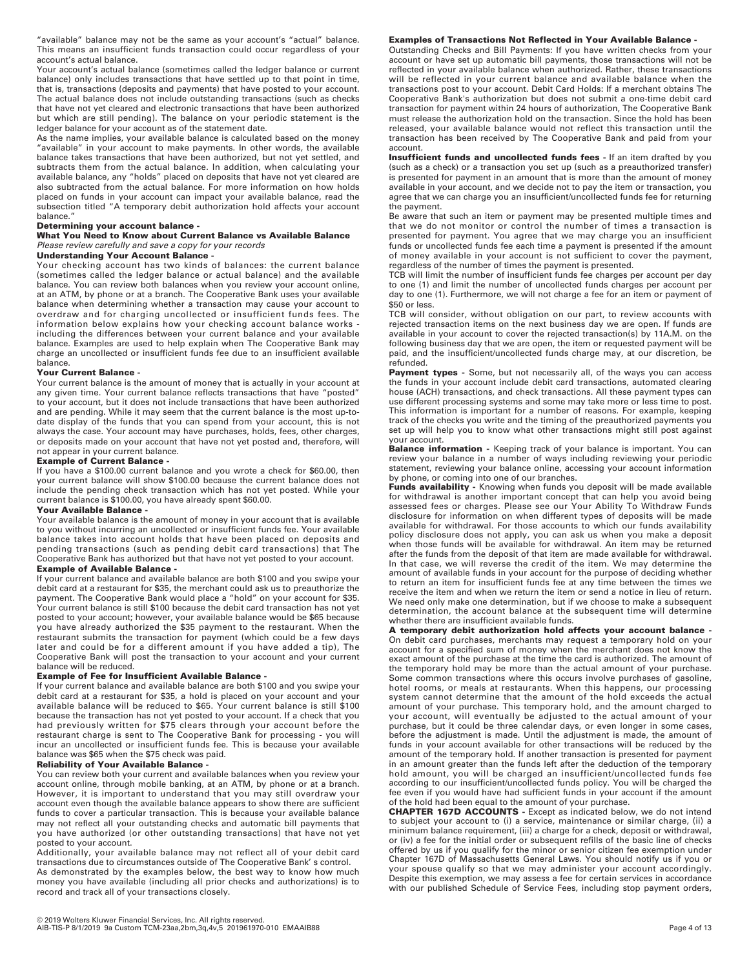"available" balance may not be the same as your account's "actual" balance. This means an insufficient funds transaction could occur regardless of your account's actual balance.

Your account's actual balance (sometimes called the ledger balance or current balance) only includes transactions that have settled up to that point in time, that is, transactions (deposits and payments) that have posted to your account. The actual balance does not include outstanding transactions (such as checks that have not yet cleared and electronic transactions that have been authorized but which are still pending). The balance on your periodic statement is the ledger balance for your account as of the statement date.

As the name implies, your available balance is calculated based on the money "available" in your account to make payments. In other words, the available balance takes transactions that have been authorized, but not yet settled, and subtracts them from the actual balance. In addition, when calculating your available balance, any "holds" placed on deposits that have not yet cleared are also subtracted from the actual balance. For more information on how holds placed on funds in your account can impact your available balance, read the subsection titled "A temporary debit authorization hold affects your account balance."

#### **Determining your account balance -**

**What You Need to Know about Current Balance vs Available Balance**  *Please review carefully and save a copy for your records* 

### **Understanding Your Account Balance -**

Your checking account has two kinds of balances: the current balance (sometimes called the ledger balance or actual balance) and the available balance. You can review both balances when you review your account online, at an ATM, by phone or at a branch. The Cooperative Bank uses your available balance when determining whether a transaction may cause your account to overdraw and for charging uncollected or insufficient funds fees. The information below explains how your checking account balance works including the differences between your current balance and your available balance. Examples are used to help explain when The Cooperative Bank may charge an uncollected or insufficient funds fee due to an insufficient available balance.

#### **Your Current Balance -**

Your current balance is the amount of money that is actually in your account at any given time. Your current balance reflects transactions that have "posted" to your account, but it does not include transactions that have been authorized and are pending. While it may seem that the current balance is the most up-todate display of the funds that you can spend from your account, this is not always the case. Your account may have purchases, holds, fees, other charges, or deposits made on your account that have not yet posted and, therefore, will not appear in your current balance.

#### **Example of Current Balance -**

If you have a \$100.00 current balance and you wrote a check for \$60.00, then your current balance will show \$100.00 because the current balance does not include the pending check transaction which has not yet posted. While your current balance is \$100.00, you have already spent \$60.00.

#### **Your Available Balance -**

Your available balance is the amount of money in your account that is available to you without incurring an uncollected or insufficient funds fee. Your available balance takes into account holds that have been placed on deposits and pending transactions (such as pending debit card transactions) that The Cooperative Bank has authorized but that have not yet posted to your account.

### **Example of Available Balance -**

If your current balance and available balance are both \$100 and you swipe your debit card at a restaurant for \$35, the merchant could ask us to preauthorize the payment. The Cooperative Bank would place a "hold" on your account for \$35. Your current balance is still \$100 because the debit card transaction has not yet posted to your account; however, your available balance would be \$65 because you have already authorized the \$35 payment to the restaurant. When the restaurant submits the transaction for payment (which could be a few days later and could be for a different amount if you have added a tip), The Cooperative Bank will post the transaction to your account and your current balance will be reduced.

#### **Example of Fee for Insufficient Available Balance -**

If your current balance and available balance are both \$100 and you swipe your debit card at a restaurant for \$35, a hold is placed on your account and your available balance will be reduced to \$65. Your current balance is still \$100 because the transaction has not yet posted to your account. If a check that you had previously written for \$75 clears through your account before the restaurant charge is sent to The Cooperative Bank for processing - you will incur an uncollected or insufficient funds fee. This is because your available balance was \$65 when the \$75 check was paid.

#### **Reliability of Your Available Balance -**

You can review both your current and available balances when you review your account online, through mobile banking, at an ATM, by phone or at a branch. However, it is important to understand that you may still overdraw your account even though the available balance appears to show there are sufficient funds to cover a particular transaction. This is because your available balance may not reflect all your outstanding checks and automatic bill payments that you have authorized (or other outstanding transactions) that have not yet posted to your account.

Additionally, your available balance may not reflect all of your debit card transactions due to circumstances outside of The Cooperative Bank' s control. As demonstrated by the examples below, the best way to know how much money you have available (including all prior checks and authorizations) is to record and track all of your transactions closely.

#### **Examples of Transactions Not Reflected in Your Available Balance -**

Outstanding Checks and Bill Payments: If you have written checks from your account or have set up automatic bill payments, those transactions will not be reflected in your available balance when authorized. Rather, these transactions will be reflected in your current balance and available balance when the transactions post to your account. Debit Card Holds: If a merchant obtains The Cooperative Bank's authorization but does not submit a one-time debit card transaction for payment within 24 hours of authorization, The Cooperative Bank must release the authorization hold on the transaction. Since the hold has been released, your available balance would not reflect this transaction until the transaction has been received by The Cooperative Bank and paid from your account.

**Insufficient funds and uncollected funds fees -** If an item drafted by you (such as a check) or a transaction you set up (such as a preauthorized transfer) is presented for payment in an amount that is more than the amount of money available in your account, and we decide not to pay the item or transaction, you agree that we can charge you an insufficient/uncollected funds fee for returning the payment.

Be aware that such an item or payment may be presented multiple times and that we do not monitor or control the number of times a transaction is presented for payment. You agree that we may charge you an insufficient funds or uncollected funds fee each time a payment is presented if the amount of money available in your account is not sufficient to cover the payment, regardless of the number of times the payment is presented.

TCB will limit the number of insufficient funds fee charges per account per day to one (1) and limit the number of uncollected funds charges per account per day to one (1). Furthermore, we will not charge a fee for an item or payment of \$50 or less.

TCB will consider, without obligation on our part, to review accounts with rejected transaction items on the next business day we are open. If funds are available in your account to cover the rejected transaction(s) by 11A.M. on the following business day that we are open, the item or requested payment will be paid, and the insufficient/uncollected funds charge may, at our discretion, be refunded.

Payment types - Some, but not necessarily all, of the ways you can access the funds in your account include debit card transactions, automated clearing house (ACH) transactions, and check transactions. All these payment types can use different processing systems and some may take more or less time to post. This information is important for a number of reasons. For example, keeping track of the checks you write and the timing of the preauthorized payments you set up will help you to know what other transactions might still post against your account.

**Balance information -** Keeping track of your balance is important. You can review your balance in a number of ways including reviewing your periodic statement, reviewing your balance online, accessing your account information by phone, or coming into one of our branches.

Funds availability - Knowing when funds you deposit will be made available for withdrawal is another important concept that can help you avoid being assessed fees or charges. Please see our Your Ability To Withdraw Funds disclosure for information on when different types of deposits will be made available for withdrawal. For those accounts to which our funds availability policy disclosure does not apply, you can ask us when you make a deposit when those funds will be available for withdrawal. An item may be returned after the funds from the deposit of that item are made available for withdrawal. In that case, we will reverse the credit of the item. We may determine the amount of available funds in your account for the purpose of deciding whether to return an item for insufficient funds fee at any time between the times we receive the item and when we return the item or send a notice in lieu of return. We need only make one determination, but if we choose to make a subsequent determination, the account balance at the subsequent time will determine whether there are insufficient available funds.

**A temporary debit authorization hold affects your account balance -** On debit card purchases, merchants may request a temporary hold on your account for a specified sum of money when the merchant does not know the exact amount of the purchase at the time the card is authorized. The amount of the temporary hold may be more than the actual amount of your purchase. Some common transactions where this occurs involve purchases of gasoline, hotel rooms, or meals at restaurants. When this happens, our processing system cannot determine that the amount of the hold exceeds the actual amount of your purchase. This temporary hold, and the amount charged to your account, will eventually be adjusted to the actual amount of your purchase, but it could be three calendar days, or even longer in some cases, before the adjustment is made. Until the adjustment is made, the amount of funds in your account available for other transactions will be reduced by the amount of the temporary hold. If another transaction is presented for payment in an amount greater than the funds left after the deduction of the temporary hold amount, you will be charged an insufficient/uncollected funds fee according to our insufficient/uncollected funds policy. You will be charged the fee even if you would have had sufficient funds in your account if the amount of the hold had been equal to the amount of your purchase.

**CHAPTER 167D ACCOUNTS -** Except as indicated below, we do not intend to subject your account to (i) a service, maintenance or similar charge, (ii) a minimum balance requirement, (iii) a charge for a check, deposit or withdrawal, or (iv) a fee for the initial order or subsequent refills of the basic line of checks offered by us if you qualify for the minor or senior citizen fee exemption under Chapter 167D of Massachusetts General Laws. You should notify us if you or your spouse qualify so that we may administer your account accordingly. Despite this exemption, we may assess a fee for certain services in accordance with our published Schedule of Service Fees, including stop payment orders,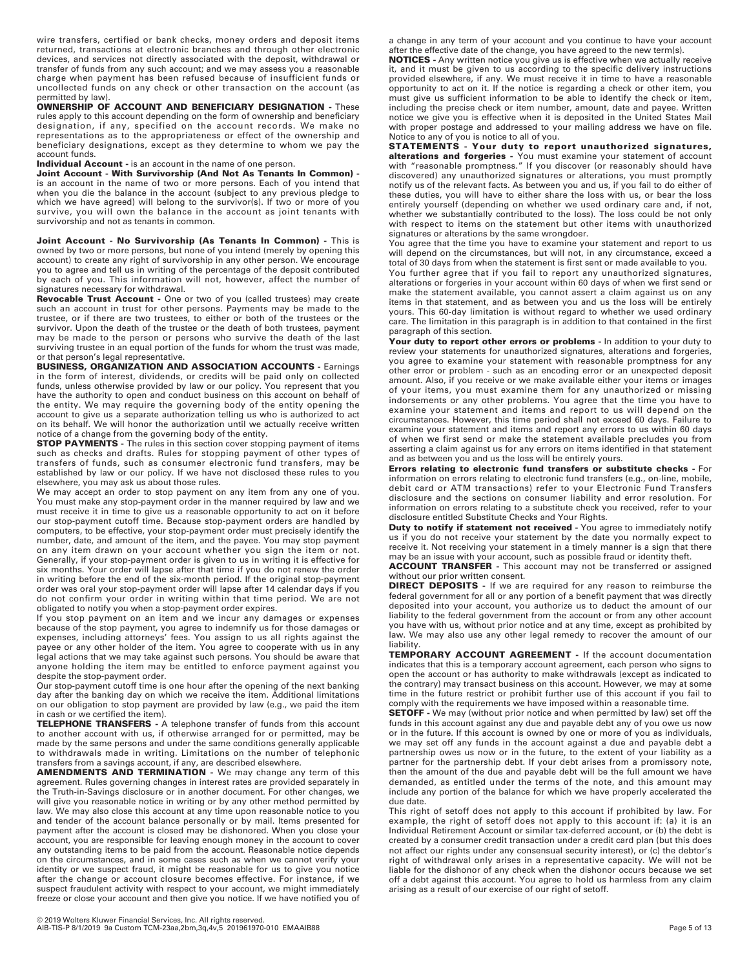wire transfers, certified or bank checks, money orders and deposit items returned, transactions at electronic branches and through other electronic devices, and services not directly associated with the deposit, withdrawal or transfer of funds from any such account; and we may assess you a reasonable charge when payment has been refused because of insufficient funds or uncollected funds on any check or other transaction on the account (as permitted by law).

**OWNERSHIP OF ACCOUNT AND BENEFICIARY DESIGNATION -** These rules apply to this account depending on the form of ownership and beneficiary designation, if any, specified on the account records. We make no representations as to the appropriateness or effect of the ownership and beneficiary designations, except as they determine to whom we pay the account funds.

**Individual Account -** is an account in the name of one person.

**Joint Account - With Survivorship (And Not As Tenants In Common)**  is an account in the name of two or more persons. Each of you intend that when you die the balance in the account (subject to any previous pledge to which we have agreed) will belong to the survivor(s). If two or more of you survive, you will own the balance in the account as joint tenants with survivorship and not as tenants in common.

**Joint Account - No Survivorship (As Tenants In Common) -** This is<br>owned by two or more persons, but none of you intend (merely by opening this account) to create any right of survivorship in any other person. We encourage you to agree and tell us in writing of the percentage of the deposit contributed by each of you. This information will not, however, affect the number of signatures necessary for withdrawal.

**Revocable Trust Account -** One or two of you (called trustees) may create such an account in trust for other persons. Payments may be made to the trustee, or if there are two trustees, to either or both of the trustees or the survivor. Upon the death of the trustee or the death of both trustees, payment may be made to the person or persons who survive the death of the last surviving trustee in an equal portion of the funds for whom the trust was made, or that person's legal representative.

**BUSINESS, ORGANIZATION AND ASSOCIATION ACCOUNTS -** Earnings in the form of interest, dividends, or credits will be paid only on collected funds, unless otherwise provided by law or our policy. You represent that you have the authority to open and conduct business on this account on behalf of the entity. We may require the governing body of the entity opening the account to give us a separate authorization telling us who is authorized to act on its behalf. We will honor the authorization until we actually receive written notice of a change from the governing body of the entity.

**STOP PAYMENTS -** The rules in this section cover stopping payment of items such as checks and drafts. Rules for stopping payment of other types of transfers of funds, such as consumer electronic fund transfers, may be established by law or our policy. If we have not disclosed these rules to you elsewhere, you may ask us about those rules.

We may accept an order to stop payment on any item from any one of you. You must make any stop-payment order in the manner required by law and we must receive it in time to give us a reasonable opportunity to act on it before our stop-payment cutoff time. Because stop-payment orders are handled by computers, to be effective, your stop-payment order must precisely identify the number, date, and amount of the item, and the payee. You may stop payment on any item drawn on your account whether you sign the item or not. Generally, if your stop-payment order is given to us in writing it is effective for six months. Your order will lapse after that time if you do not renew the order in writing before the end of the six-month period. If the original stop-payment order was oral your stop-payment order will lapse after 14 calendar days if you do not confirm your order in writing within that time period. We are not obligated to notify you when a stop-payment order expires.

If you stop payment on an item and we incur any damages or expenses because of the stop payment, you agree to indemnify us for those damages or<br>expenses, including attorneys' fees. You assign to us all rights against the<br>payee or any other holder of the item. You agree to cooperate with us legal actions that we may take against such persons. You should be aware that anyone holding the item may be entitled to enforce payment against you despite the stop-payment order.

Our stop-payment cutoff time is one hour after the opening of the next banking day after the banking day on which we receive the item. Additional limitations on our obligation to stop payment are provided by law (e.g., we paid the item in cash or we certified the item).

**TELEPHONE TRANSFERS -** A telephone transfer of funds from this account to another account with us, if otherwise arranged for or permitted, may be made by the same persons and under the same conditions generally applicable to withdrawals made in writing. Limitations on the number of telephonic

transfers from a savings account, if any, are described elsewhere. **AMENDMENTS AND TERMINATION -** We may change any term of this agreement. Rules governing changes in interest rates are provided separately in the Truth-in-Savings disclosure or in another document. For other changes, we will give you reasonable notice in writing or by any other method permitted by law. We may also close this account at any time upon reasonable notice to you and tender of the account balance personally or by mail. Items presented for payment after the account is closed may be dishonored. When you close your account, you are responsible for leaving enough money in the account to cover any outstanding items to be paid from the account. Reasonable notice depends on the circumstances, and in some cases such as when we cannot verify your identity or we suspect fraud, it might be reasonable for us to give you notice after the change or account closure becomes effective. For instance, if we suspect fraudulent activity with respect to your account, we might immediately freeze or close your account and then give you notice. If we have notified you of

a change in any term of your account and you continue to have your account after the effective date of the change, you have agreed to the new term(s).

**NOTICES -** Any written notice you give us is effective when we actually receive it, and it must be given to us according to the specific delivery instructions provided elsewhere, if any. We must receive it in time to have a reasonable opportunity to act on it. If the notice is regarding a check or other item, you must give us sufficient information to be able to identify the check or item, including the precise check or item number, amount, date and payee. Written notice we give you is effective when it is deposited in the United States Mail with proper postage and addressed to your mailing address we have on file.

Notice to any of you is notice to all of you. **STATEMENTS - Your duty to report unauthorized signatures, alterations and forgeries** - You must examine your statement of account<br>with "reasonable promptness." If you discover (or reasonably should have discovered) any unauthorized signatures or alterations, you must promptly notify us of the relevant facts. As between you and us, if you fail to do either of these duties, you will have to either share the loss with us, or bear the loss entirely yourself (depending on whether we used ordinary care and, if not, whether we substantially contributed to the loss). The loss could be not only with respect to items on the statement but other items with unauthorized signatures or alterations by the same wrongdoer.

You agree that the time you have to examine your statement and report to us will depend on the circumstances, but will not, in any circumstance, exceed a total of 30 days from when the statement is first sent or made available to you.

You further agree that if you fail to report any unauthorized signatures, alterations or forgeries in your account within 60 days of when we first send or make the statement available, you cannot assert a claim against us on any items in that statement, and as between you and us the loss will be entirely yours. This 60-day limitation is without regard to whether we used ordinary care. The limitation in this paragraph is in addition to that contained in the first paragraph of this section.

**Your duty to report other errors or problems -** In addition to your duty to review your statements for unauthorized signatures, alterations and forgeries, you agree to examine your statement with reasonable promptness for any other error or problem - such as an encoding error or an unexpected deposit amount. Also, if you receive or we make available either your items or images of your items, you must examine them for any unauthorized or missing indorsements or any other problems. You agree that the time you have to examine your statement and items and report to us will depend on the circumstances. However, this time period shall not exceed 60 days. Failure to examine your statement and items and report any errors to us within 60 days of when we first send or make the statement available precludes you from asserting a claim against us for any errors on items identified in that statement and as between you and us the loss will be entirely yours.

**Errors relating to electronic fund transfers or substitute checks -** For information on errors relating to electronic fund transfers (e.g., on-line, mobile, debit card or ATM transactions) refer to your Electronic Fund Transfers disclosure and the sections on consumer liability and error resolution. For information on errors relating to a substitute check you received, refer to your disclosure entitled Substitute Checks and Your Rights.

**Duty to notify if statement not received -** You agree to immediately notify us if you do not receive your statement by the date you normally expect to receive it. Not receiving your statement in a timely manner is a sign that there may be an issue with your account, such as possible fraud or identity theft.

**ACCOUNT TRANSFER -** This account may not be transferred or assigned without our prior written consent.

**DIRECT DEPOSITS -** If we are required for any reason to reimburse the federal government for all or any portion of a benefit payment that was directly deposited into your account, you authorize us to deduct the amount of our liability to the federal government from the account or from any other account you have with us, without prior notice and at any time, except as prohibited by law. We may also use any other legal remedy to recover the amount of our liability.

**TEMPORARY ACCOUNT AGREEMENT -** If the account documentation indicates that this is a temporary account agreement, each person who signs to open the account or has authority to make withdrawals (except as indicated to the contrary) may transact business on this account. However, we may at some time in the future restrict or prohibit further use of this account if you fail to comply with the requirements we have imposed within a reasonable time.

**SETOFF -** We may (without prior notice and when permitted by law) set off the funds in this account against any due and payable debt any of you owe us now or in the future. If this account is owned by one or more of you as individuals, we may set off any funds in the account against a due and payable debt a partnership owes us now or in the future, to the extent of your liability as a partner for the partnership debt. If your debt arises from a promissory note, then the amount of the due and payable debt will be the full amount we have demanded, as entitled under the terms of the note, and this amount may include any portion of the balance for which we have properly accelerated the due date.

This right of setoff does not apply to this account if prohibited by law. For example, the right of setoff does not apply to this account if: (a) it is an Individual Retirement Account or similar tax-deferred account, or (b) the debt is created by a consumer credit transaction under a credit card plan (but this does not affect our rights under any consensual security interest), or (c) the debtor's right of withdrawal only arises in a representative capacity. We will not be liable for the dishonor of any check when the dishonor occurs because we set off a debt against this account. You agree to hold us harmless from any claim arising as a result of our exercise of our right of setoff.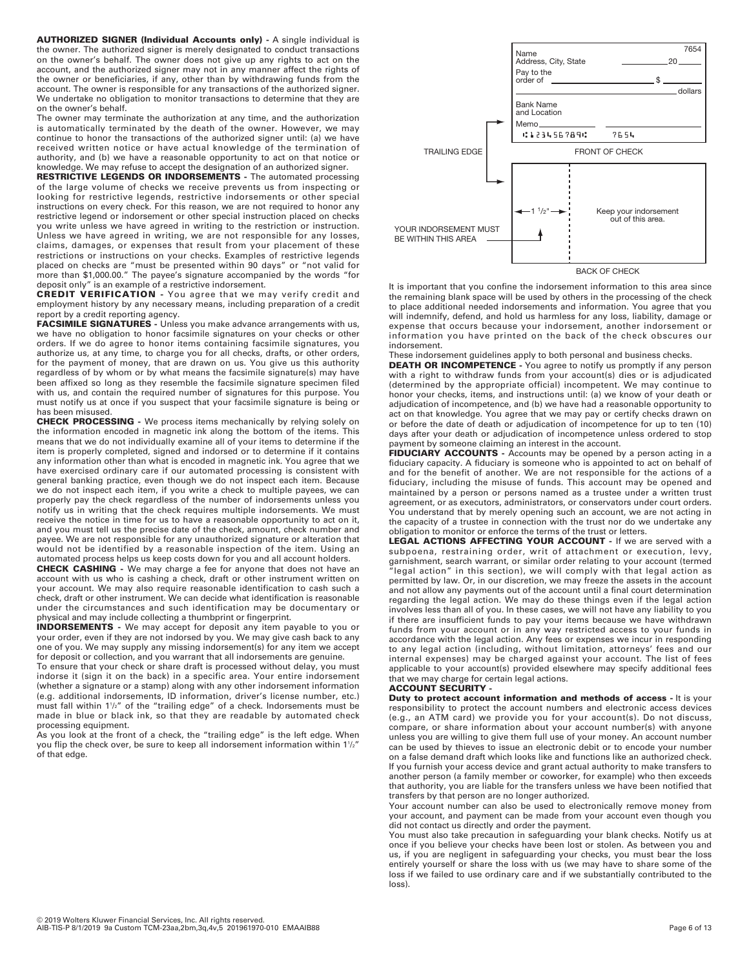**AUTHORIZED SIGNER (Individual Accounts only) -** A single individual is the owner. The authorized signer is merely designated to conduct transactions on the owner's behalf. The owner does not give up any rights to act on the account, and the authorized signer may not in any manner affect the rights of the owner or beneficiaries, if any, other than by withdrawing funds from the account. The owner is responsible for any transactions of the authorized signer. We undertake no obligation to monitor transactions to determine that they are on the owner's behalf.

The owner may terminate the authorization at any time, and the authorization is automatically terminated by the death of the owner. However, we may continue to honor the transactions of the authorized signer until: (a) we have received written notice or have actual knowledge of the termination of authority, and (b) we have a reasonable opportunity to act on that notice or knowledge. We may refuse to accept the designation of an authorized signer.

**RESTRICTIVE LEGENDS OR INDORSEMENTS -** The automated processing of the large volume of checks we receive prevents us from inspecting or looking for restrictive legends, restrictive indorsements or other special instructions on every check. For this reason, we are not required to honor any restrictive legend or indorsement or other special instruction placed on checks you write unless we have agreed in writing to the restriction or instruction. Unless we have agreed in writing, we are not responsible for any losses, claims, damages, or expenses that result from your placement of these restrictions or instructions on your checks. Examples of restrictive legends placed on checks are "must be presented within 90 days" or "not valid for more than \$1,000.00." The payee's signature accompanied by the words "for deposit only" is an example of a restrictive indorsement.

**CREDIT VERIFICATION -** You agree that we may verify credit and employment history by any necessary means, including preparation of a credit report by a credit reporting agency.

**FACSIMILE SIGNATURES -** Unless you make advance arrangements with us, we have no obligation to honor facsimile signatures on your checks or other orders. If we do agree to honor items containing facsimile signatures, you authorize us, at any time, to charge you for all checks, drafts, or other orders, for the payment of money, that are drawn on us. You give us this authority regardless of by whom or by what means the facsimile signature(s) may have been affixed so long as they resemble the facsimile signature specimen filed with us, and contain the required number of signatures for this purpose. You must notify us at once if you suspect that your facsimile signature is being or has been misused.

**CHECK PROCESSING -** We process items mechanically by relying solely on the information encoded in magnetic ink along the bottom of the items. This means that we do not individually examine all of your items to determine if the item is properly completed, signed and indorsed or to determine if it contains any information other than what is encoded in magnetic ink. You agree that we have exercised ordinary care if our automated processing is consistent with general banking practice, even though we do not inspect each item. Because we do not inspect each item, if you write a check to multiple payees, we can properly pay the check regardless of the number of indorsements unless you notify us in writing that the check requires multiple indorsements. We must receive the notice in time for us to have a reasonable opportunity to act on it, and you must tell us the precise date of the check, amount, check number and payee. We are not responsible for any unauthorized signature or alteration that would not be identified by a reasonable inspection of the item. Using an automated process helps us keep costs down for you and all account holders.

**CHECK CASHING -** We may charge a fee for anyone that does not have an account with us who is cashing a check, draft or other instrument written on your account. We may also require reasonable identification to cash such a check, draft or other instrument. We can decide what identification is reasonable under the circumstances and such identification may be documentary or physical and may include collecting a thumbprint or fingerprint.

**INDORSEMENTS -** We may accept for deposit any item payable to you or your order, even if they are not indorsed by you. We may give cash back to any one of you. We may supply any missing indorsement(s) for any item we accept for deposit or collection, and you warrant that all indorsements are genuine.

To ensure that your check or share draft is processed without delay, you must indorse it (sign it on the back) in a specific area. Your entire indorsement (whether a signature or a stamp) along with any other indorsement information (e.g. additional indorsements, ID information, driver's license number, etc.) must fall within 11 /2" of the "trailing edge" of a check. Indorsements must be made in blue or black ink, so that they are readable by automated check processing equipment.

As you look at the front of a check, the "trailing edge" is the left edge. When you flip the check over, be sure to keep all indorsement information within  $1\frac{1}{2}$ of that edge.



BACK OF CHECK

It is important that you confine the indorsement information to this area since the remaining blank space will be used by others in the processing of the check to place additional needed indorsements and information. You agree that you will indemnify, defend, and hold us harmless for any loss, liability, damage or expense that occurs because your indorsement, another indorsement or information you have printed on the back of the check obscures our indorsement.

These indorsement guidelines apply to both personal and business checks.

**DEATH OR INCOMPETENCE -** You agree to notify us promptly if any person with a right to withdraw funds from your account(s) dies or is adjudicated (determined by the appropriate official) incompetent. We may continue to honor your checks, items, and instructions until: (a) we know of your death or adjudication of incompetence, and (b) we have had a reasonable opportunity to act on that knowledge. You agree that we may pay or certify checks drawn on or before the date of death or adjudication of incompetence for up to ten (10) days after your death or adjudication of incompetence unless ordered to stop payment by someone claiming an interest in the account.

FIDUCIARY ACCOUNTS - Accounts may be opened by a person acting in a fiduciary capacity. A fiduciary is someone who is appointed to act on behalf of and for the benefit of another. We are not responsible for the actions of a fiduciary, including the misuse of funds. This account may be opened and maintained by a person or persons named as a trustee under a written trust agreement, or as executors, administrators, or conservators under court orders. You understand that by merely opening such an account, we are not acting in the capacity of a trustee in connection with the trust nor do we undertake any obligation to monitor or enforce the terms of the trust or letters.

**LEGAL ACTIONS AFFECTING YOUR ACCOUNT -** If we are served with a subpoena, restraining order, writ of attachment or execution, levy, garnishment, search warrant, or similar order relating to your account (termed legal action" in this section), we will comply with that legal action as permitted by law. Or, in our discretion, we may freeze the assets in the account and not allow any payments out of the account until a final court determination regarding the legal action. We may do these things even if the legal action involves less than all of you. In these cases, we will not have any liability to you if there are insufficient funds to pay your items because we have withdrawn funds from your account or in any way restricted access to your funds in accordance with the legal action. Any fees or expenses we incur in responding to any legal action (including, without limitation, attorneys' fees and our internal expenses) may be charged against your account. The list of fees applicable to your account(s) provided elsewhere may specify additional fees that we may charge for certain legal actions.

### **ACCOUNT SECURITY -**

**Duty to protect account information and methods of access - It is your** responsibility to protect the account numbers and electronic access devices (e.g., an ATM card) we provide you for your account(s). Do not discuss, compare, or share information about your account number(s) with anyone unless you are willing to give them full use of your money. An account number can be used by thieves to issue an electronic debit or to encode your number on a false demand draft which looks like and functions like an authorized check. If you furnish your access device and grant actual authority to make transfers to another person (a family member or coworker, for example) who then exceeds that authority, you are liable for the transfers unless we have been notified that transfers by that person are no longer authorized.

Your account number can also be used to electronically remove money from your account, and payment can be made from your account even though you did not contact us directly and order the payment.

You must also take precaution in safeguarding your blank checks. Notify us at once if you believe your checks have been lost or stolen. As between you and us, if you are negligent in safeguarding your checks, you must bear the loss entirely yourself or share the loss with us (we may have to share some of the loss if we failed to use ordinary care and if we substantially contributed to the loss).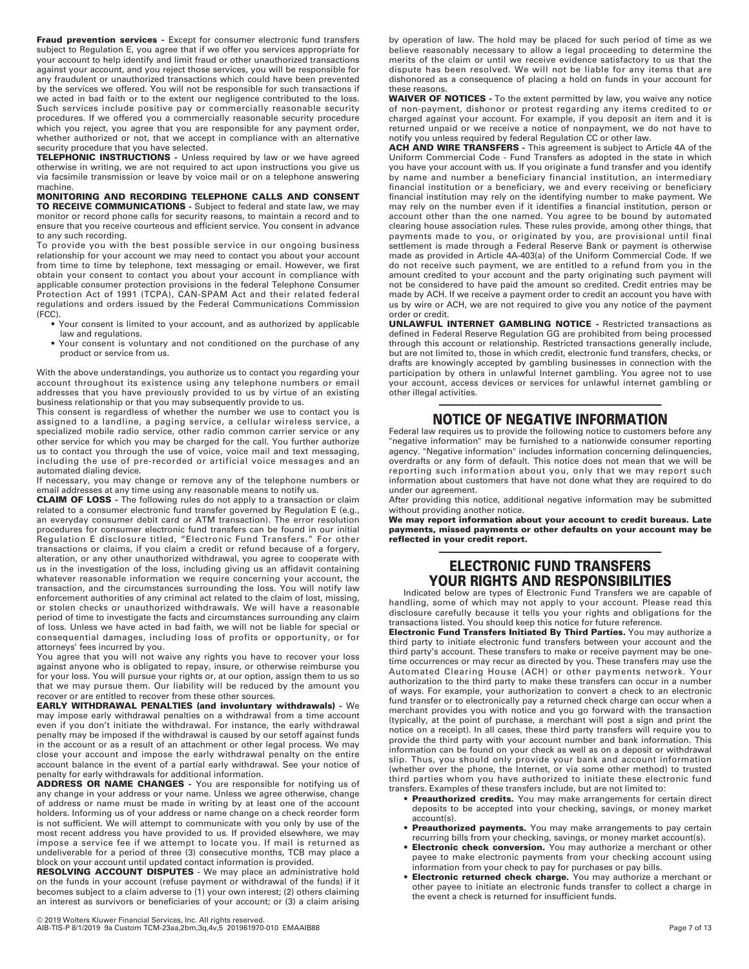**Fraud prevention services -** Except for consumer electronic fund transfers subject to Regulation E, you agree that if we offer you services appropriate for your account to help identify and limit fraud or other unauthorized transactions against your account, and you reject those services, you will be responsible for any fraudulent or unauthorized transactions which could have been prevented by the services we offered. You will not be responsible for such transactions if we acted in bad faith or to the extent our negligence contributed to the loss. Such services include positive pay or commercially reasonable security procedures. If we offered you a commercially reasonable security procedure which you reject, you agree that you are responsible for any payment order, whether authorized or not, that we accept in compliance with an alternative security procedure that you have selected.

**TELEPHONIC INSTRUCTIONS -** Unless required by law or we have agreed otherwise in writing, we are not required to act upon instructions you give us via facsimile transmission or leave by voice mail or on a telephone answering machine.

**MONITORING AND RECORDING TELEPHONE CALLS AND CONSENT TO RECEIVE COMMUNICATIONS -** Subject to federal and state law, we may monitor or record phone calls for security reasons, to maintain a record and to ensure that you receive courteous and efficient service. You consent in advance to any such recording.

To provide you with the best possible service in our ongoing business relationship for your account we may need to contact you about your account from time to time by telephone, text messaging or email. However, we first obtain your consent to contact you about your account in compliance with applicable consumer protection provisions in the federal Telephone Consumer Protection Act of 1991 (TCPA), CAN-SPAM Act and their related federal regulations and orders issued by the Federal Communications Commission (FCC).

- •...<br>• Your consent is limited to your account, and as authorized by applicable law and regulations.
- Your consent is voluntary and not conditioned on the purchase of any product or service from us.

With the above understandings, you authorize us to contact you regarding your account throughout its existence using any telephone numbers or email addresses that you have previously provided to us by virtue of an existing business relationship or that you may subsequently provide to us.

This consent is regardless of whether the number we use to contact you is assigned to a landline, a paging service, a cellular wireless service, a specialized mobile radio service, other radio common carrier service or any other service for which you may be charged for the call. You further authorize us to contact you through the use of voice, voice mail and text messaging, including the use of pre-recorded or artificial voice messages and an automated dialing device.

If necessary, you may change or remove any of the telephone numbers or email addresses at any time using any reasonable means to notify us.

**CLAIM OF LOSS -** The following rules do not apply to a transaction or claim related to a consumer electronic fund transfer governed by Regulation E (e.g., an everyday consumer debit card or ATM transaction). The error resolution procedures for consumer electronic fund transfers can be found in our initial Regulation E disclosure titled, "Electronic Fund Transfers." For other transactions or claims, if you claim a credit or refund because of a forgery, alteration, or any other unauthorized withdrawal, you agree to cooperate with us in the investigation of the loss, including giving us an affidavit containing whatever reasonable information we require concerning your account, the transaction, and the circumstances surrounding the loss. You will notify law enforcement authorities of any criminal act related to the claim of lost, missing, or stolen checks or unauthorized withdrawals. We will have a reasonable period of time to investigate the facts and circumstances surrounding any claim of loss. Unless we have acted in bad faith, we will not be liable for special or consequential damages, including loss of profits or opportunity, or for attorneys' fees incurred by you.

You agree that you will not waive any rights you have to recover your loss against anyone who is obligated to repay, insure, or otherwise reimburse you for your loss. You will pursue your rights or, at our option, assign them to us so that we may pursue them. Our liability will be reduced by the amount you recover or are entitled to recover from these other sources.

**EARLY WITHDRAWAL PENALTIES (and involuntary withdrawals) -** We may impose early withdrawal penalties on a withdrawal from a time account even if you don't initiate the withdrawal. For instance, the early withdrawal penalty may be imposed if the withdrawal is caused by our setoff against funds in the account or as a result of an attachment or other legal process. We may close your account and impose the early withdrawal penalty on the entire account balance in the event of a partial early withdrawal. See your notice of penalty for early withdrawals for additional information.

**ADDRESS OR NAME CHANGES -** You are responsible for notifying us of any change in your address or your name. Unless we agree otherwise, change of address or name must be made in writing by at least one of the account holders. Informing us of your address or name change on a check reorder form is not sufficient. We will attempt to communicate with you only by use of the most recent address you have provided to us. If provided elsewhere, we may impose a service fee if we attempt to locate you. If mail is returned as undeliverable for a period of three (3) consecutive months, TCB may place a block on your account until updated contact information is provided.

**RESOLVING ACCOUNT DISPUTES** - We may place an administrative hold on the funds in your account (refuse payment or withdrawal of the funds) if it becomes subject to a claim adverse to (1) your own interest; (2) others claiming an interest as survivors or beneficiaries of your account; or (3) a claim arising

by operation of law. The hold may be placed for such period of time as we believe reasonably necessary to allow a legal proceeding to determine the merits of the claim or until we receive evidence satisfactory to us that the dispute has been resolved. We will not be liable for any items that are dishonored as a consequence of placing a hold on funds in your account for these reasons.

**WAIVER OF NOTICES -** To the extent permitted by law, you waive any notice of non-payment, dishonor or protest regarding any items credited to or charged against your account. For example, if you deposit an item and it is returned unpaid or we receive a notice of nonpayment, we do not have to notify you unless required by federal Regulation CC or other law.

**ACH AND WIRE TRANSFERS -** This agreement is subject to Article 4A of the Uniform Commercial Code - Fund Transfers as adopted in the state in which you have your account with us. If you originate a fund transfer and you identify by name and number a beneficiary financial institution, an intermediary financial institution or a beneficiary, we and every receiving or beneficiary financial institution may rely on the identifying number to make payment. We may rely on the number even if it identifies a financial institution, person or account other than the one named. You agree to be bound by automated clearing house association rules. These rules provide, among other things, that payments made to you, or originated by you, are provisional until final settlement is made through a Federal Reserve Bank or payment is otherwise made as provided in Article 4A-403(a) of the Uniform Commercial Code. If we do not receive such payment, we are entitled to a refund from you in the amount credited to your account and the party originating such payment will not be considered to have paid the amount so credited. Credit entries may be made by ACH. If we receive a payment order to credit an account you have with us by wire or ACH, we are not required to give you any notice of the payment order or credit.

**UNLAWFUL INTERNET GAMBLING NOTICE -** Restricted transactions as defined in Federal Reserve Regulation GG are prohibited from being processed through this account or relationship. Restricted transactions generally include, but are not limited to, those in which credit, electronic fund transfers, checks, or drafts are knowingly accepted by gambling businesses in connection with the participation by others in unlawful Internet gambling. You agree not to use your account, access devices or services for unlawful internet gambling or other illegal activities.

# ———————————————————————————————————— **NOTICE OF NEGATIVE INFORMATION**

Federal law requires us to provide the following notice to customers before any "negative information" may be furnished to a nationwide consumer reporting agency. "Negative information" includes information concerning delinquencies, overdrafts or any form of default. This notice does not mean that we will be reporting such information about you, only that we may report such information about customers that have not done what they are required to do under our agreement.

After providing this notice, additional negative information may be submitted without providing another notice.

**We may report information about your account to credit bureaus. Late payments, missed payments or other defaults on your account may be reflected in your credit report.**

# ———————————————————————————————————— **ELECTRONIC FUND TRANSFERS YOUR RIGHTS AND RESPONSIBILITIES**

Indicated below are types of Electronic Fund Transfers we are capable of handling, some of which may not apply to your account. Please read this disclosure carefully because it tells you your rights and obligations for the transactions listed. You should keep this notice for future reference.

**Electronic Fund Transfers Initiated By Third Parties.** You may authorize a third party to initiate electronic fund transfers between your account and the third party's account. These transfers to make or receive payment may be onetime occurrences or may recur as directed by you. These transfers may use the Automated Clearing House (ACH) or other payments network. Your authorization to the third party to make these transfers can occur in a number of ways. For example, your authorization to convert a check to an electronic fund transfer or to electronically pay a returned check charge can occur when a merchant provides you with notice and you go forward with the transaction (typically, at the point of purchase, a merchant will post a sign and print the notice on a receipt). In all cases, these third party transfers will require you to provide the third party with your account number and bank information. This information can be found on your check as well as on a deposit or withdrawal slip. Thus, you should only provide your bank and account information (whether over the phone, the Internet, or via some other method) to trusted third parties whom you have authorized to initiate these electronic fund transfers. Examples of these transfers include, but are not limited to:

- **Preauthorized credits.** You may make arrangements for certain direct deposits to be accepted into your checking, savings, or money market account(s).
- **Preauthorized payments.** You may make arrangements to pay certain recurring bills from your checking, savings, or money market account(s).
- **Electronic check conversion.** You may authorize a merchant or other payee to make electronic payments from your checking account using information from your check to pay for purchases or pay bills.
- **Electronic returned check charge.** You may authorize a merchant or other payee to initiate an electronic funds transfer to collect a charge in the event a check is returned for insufficient funds.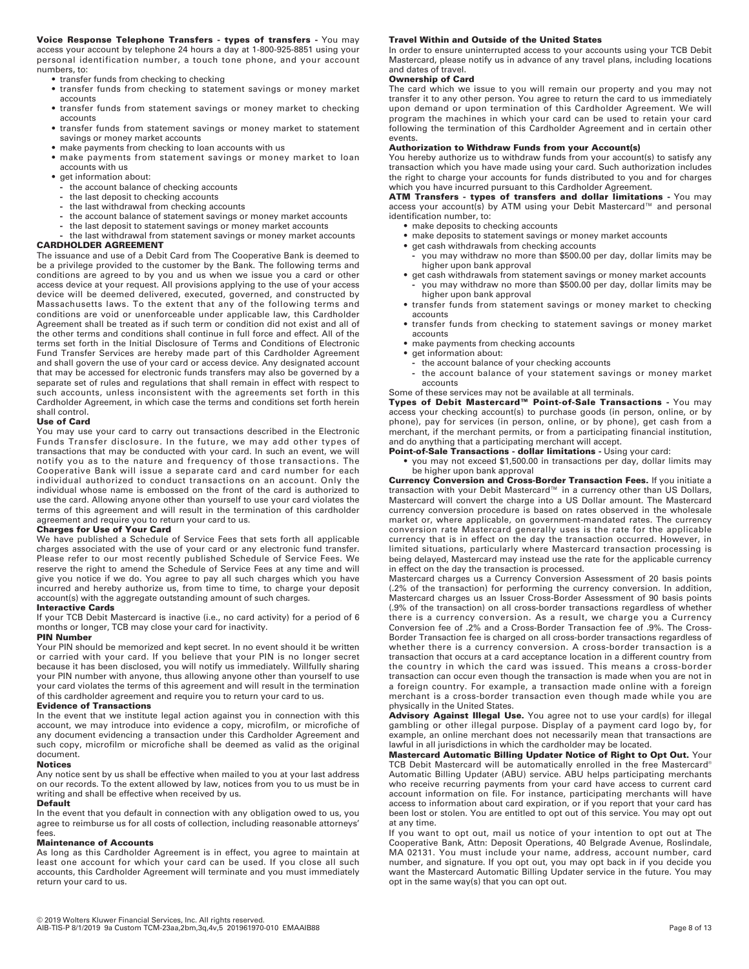**Voice Response Telephone Transfers - types of transfers -** You may access your account by telephone 24 hours a day at 1-800-925-8851 using your personal identification number, a touch tone phone, and your account numbers, to:

- **•** transfer funds from checking to checking
- **•** transfer funds from checking to statement savings or money market accounts
- **•** transfer funds from statement savings or money market to checking accounts
- **•** transfer funds from statement savings or money market to statement savings or money market accounts
- **•** make payments from checking to loan accounts with us
- **•** make payments from statement savings or money market to loan accounts with us
- **•** get information about:
	- **-** the account balance of checking accounts
	- **-** the last deposit to checking accounts
	- **-** the last withdrawal from checking accounts
	- **-** the account balance of statement savings or money market accounts
	- **-** the last deposit to statement savings or money market accounts
- **-** the last withdrawal from statement savings or money market accounts

## **CARDHOLDER AGREEMENT**

The issuance and use of a Debit Card from The Cooperative Bank is deemed to be a privilege provided to the customer by the Bank. The following terms and conditions are agreed to by you and us when we issue you a card or other access device at your request. All provisions applying to the use of your access device will be deemed delivered, executed, governed, and constructed by Massachusetts laws. To the extent that any of the following terms and conditions are void or unenforceable under applicable law, this Cardholder Agreement shall be treated as if such term or condition did not exist and all of the other terms and conditions shall continue in full force and effect. All of the terms set forth in the Initial Disclosure of Terms and Conditions of Electronic Fund Transfer Services are hereby made part of this Cardholder Agreement and shall govern the use of your card or access device. Any designated account that may be accessed for electronic funds transfers may also be governed by a separate set of rules and regulations that shall remain in effect with respect to such accounts, unless inconsistent with the agreements set forth in this Cardholder Agreement, in which case the terms and conditions set forth herein shall control.

#### **Use of Card**

You may use your card to carry out transactions described in the Electronic Funds Transfer disclosure. In the future, we may add other types of transactions that may be conducted with your card. In such an event, we will notify you as to the nature and frequency of those transactions. The Cooperative Bank will issue a separate card and card number for each individual authorized to conduct transactions on an account. Only the individual whose name is embossed on the front of the card is authorized to use the card. Allowing anyone other than yourself to use your card violates the terms of this agreement and will result in the termination of this cardholder agreement and require you to return your card to us.

#### **Charges for Use of Your Card**

We have published a Schedule of Service Fees that sets forth all applicable charges associated with the use of your card or any electronic fund transfer. Please refer to our most recently published Schedule of Service Fees. We reserve the right to amend the Schedule of Service Fees at any time and will give you notice if we do. You agree to pay all such charges which you have incurred and hereby authorize us, from time to time, to charge your deposit account(s) with the aggregate outstanding amount of such charges.

## **Interactive Cards**

If your TCB Debit Mastercard is inactive (i.e., no card activity) for a period of 6 months or longer, TCB may close your card for inactivity.

## **PIN Number**

Your PIN should be memorized and kept secret. In no event should it be written or carried with your card. If you believe that your PIN is no longer secret because it has been disclosed, you will notify us immediately. Willfully sharing your PIN number with anyone, thus allowing anyone other than yourself to use your card violates the terms of this agreement and will result in the termination of this cardholder agreement and require you to return your card to us.

#### **Evidence of Transactions**

In the event that we institute legal action against you in connection with this account, we may introduce into evidence a copy, microfilm, or microfiche of any document evidencing a transaction under this Cardholder Agreement and such copy, microfilm or microfiche shall be deemed as valid as the original document.

#### **Notices**

Any notice sent by us shall be effective when mailed to you at your last address on our records. To the extent allowed by law, notices from you to us must be in writing and shall be effective when received by us.

#### **Default**

In the event that you default in connection with any obligation owed to us, you agree to reimburse us for all costs of collection, including reasonable attorneys' fees.

#### **Maintenance of Accounts**

As long as this Cardholder Agreement is in effect, you agree to maintain at least one account for which your card can be used. If you close all such accounts, this Cardholder Agreement will terminate and you must immediately return your card to us.

#### **Travel Within and Outside of the United States**

In order to ensure uninterrupted access to your accounts using your TCB Debit Mastercard, please notify us in advance of any travel plans, including locations and dates of travel.

#### **Ownership of Card**

The card which we issue to you will remain our property and you may not transfer it to any other person. You agree to return the card to us immediately upon demand or upon termination of this Cardholder Agreement. We will program the machines in which your card can be used to retain your card following the termination of this Cardholder Agreement and in certain other events.

### **Authorization to Withdraw Funds from your Account(s)**

You hereby authorize us to withdraw funds from your account(s) to satisfy any transaction which you have made using your card. Such authorization includes the right to charge your accounts for funds distributed to you and for charges which you have incurred pursuant to this Cardholder Agreement.

**ATM Transfers - types of transfers and dollar limitations -** You may

access your account(s) by ATM using your Debit Mastercard™ and personal identification number, to:

- **•** make deposits to checking accounts
- **•** make deposits to statement savings or money market accounts
- **•** get cash withdrawals from checking accounts
- **-** you may withdraw no more than \$500.00 per day, dollar limits may be higher upon bank approval
- **•** get cash withdrawals from statement savings or money market accounts
- **-** you may withdraw no more than \$500.00 per day, dollar limits may be higher upon bank approval
- **•** transfer funds from statement savings or money market to checking accounts
- **•** transfer funds from checking to statement savings or money market accounts
- **•** make payments from checking accounts
- **•** get information about:
	- **-** the account balance of your checking accounts
	- **-** the account balance of your statement savings or money market accounts

# Some of these services may not be available at all terminals.

**Types of Debit Mastercard™ Point-of-Sale Transactions -** You may access your checking account(s) to purchase goods (in person, online, or by phone), pay for services (in person, online, or by phone), get cash from a merchant, if the merchant permits, or from a participating financial institution, and do anything that a participating merchant will accept.

#### **Point-of-Sale Transactions - dollar limitations -** Using your card:

**•** you may not exceed \$1,500.00 in transactions per day, dollar limits may be higher upon bank approval

**Currency Conversion and Cross-Border Transaction Fees.** If you initiate a transaction with your Debit Mastercard™ in a currency other than US Dollars, Mastercard will convert the charge into a US Dollar amount. The Mastercard currency conversion procedure is based on rates observed in the wholesale market or, where applicable, on government-mandated rates. The currency conversion rate Mastercard generally uses is the rate for the applicable currency that is in effect on the day the transaction occurred. However, in limited situations, particularly where Mastercard transaction processing is being delayed, Mastercard may instead use the rate for the applicable currency in effect on the day the transaction is processed.

Mastercard charges us a Currency Conversion Assessment of 20 basis points (.2% of the transaction) for performing the currency conversion. In addition, Mastercard charges us an Issuer Cross-Border Assessment of 90 basis points (.9% of the transaction) on all cross-border transactions regardless of whether there is a currency conversion. As a result, we charge you a Currency Conversion fee of .2% and a Cross-Border Transaction fee of .9%. The Cross-Border Transaction fee is charged on all cross-border transactions regardless of whether there is a currency conversion. A cross-border transaction is a transaction that occurs at a card acceptance location in a different country from the country in which the card was issued. This means a cross-border transaction can occur even though the transaction is made when you are not in a foreign country. For example, a transaction made online with a foreign merchant is a cross-border transaction even though made while you are physically in the United States.

Advisory Against Illegal Use. You agree not to use your card(s) for illegal gambling or other illegal purpose. Display of a payment card logo by, for example, an online merchant does not necessarily mean that transactions are lawful in all jurisdictions in which the cardholder may be located.

**Mastercard Automatic Billing Updater Notice of Right to Opt Out.** Your TCB Debit Mastercard will be automatically enrolled in the free Mastercard® Automatic Billing Updater (ABU) service. ABU helps participating merchants who receive recurring payments from your card have access to current card account information on file. For instance, participating merchants will have access to information about card expiration, or if you report that your card has been lost or stolen. You are entitled to opt out of this service. You may opt out at any time.

If you want to opt out, mail us notice of your intention to opt out at The Cooperative Bank, Attn: Deposit Operations, 40 Belgrade Avenue, Roslindale, MA 02131. You must include your name, address, account number, card number, and signature. If you opt out, you may opt back in if you decide you want the Mastercard Automatic Billing Updater service in the future. You may opt in the same way(s) that you can opt out.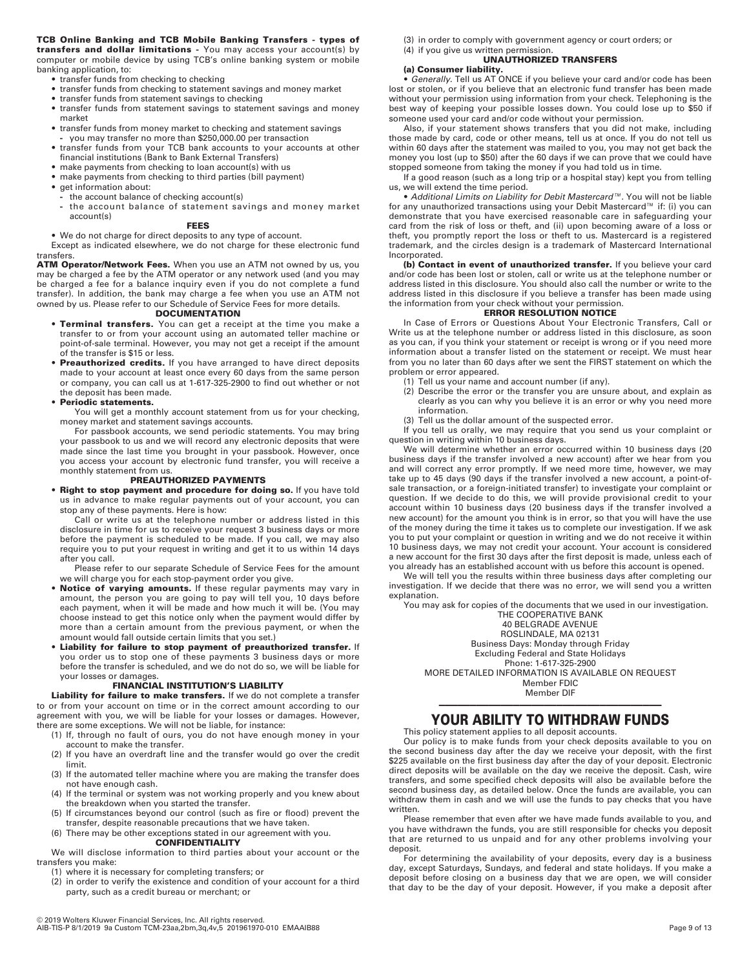**TCB Online Banking and TCB Mobile Banking Transfers - types of transfers and dollar limitations -** You may access your account(s) by computer or mobile device by using TCB's online banking system or mobile banking application, to:

- **•** transfer funds from checking to checking
- **•** transfer funds from checking to statement savings and money market
- **•** transfer funds from statement savings to checking **•** transfer funds from statement savings to statement savings and money
- market **•** transfer funds from money market to checking and statement savings
- **-** you may transfer no more than \$250,000.00 per transaction
- **•** transfer funds from your TCB bank accounts to your accounts at other financial institutions (Bank to Bank External Transfers)
- **•** make payments from checking to loan account(s) with us
- **•** make payments from checking to third parties (bill payment)
- **•** get information about:
	- **-** the account balance of checking account(s) **-** the account balance of statement savings and money market account(s)

#### **FEES**

**•** We do not charge for direct deposits to any type of account.

Except as indicated elsewhere, we do not charge for these electronic fund transfers.

**ATM Operator/Network Fees.** When you use an ATM not owned by us, you may be charged a fee by the ATM operator or any network used (and you may be charged a fee for a balance inquiry even if you do not complete a fund transfer). In addition, the bank may charge a fee when you use an ATM not owned by us. Please refer to our Schedule of Service Fees for more details.

### **DOCUMENTATION**

- **Terminal transfers.** You can get a receipt at the time you make a transfer to or from your account using an automated teller machine or point-of-sale terminal. However, you may not get a receipt if the amount of the transfer is \$15 or less.
- **Preauthorized credits.** If you have arranged to have direct deposits made to your account at least once every 60 days from the same person or company, you can call us at 1-617-325-2900 to find out whether or not the deposit has been made.

#### **• Periodic statements.**

You will get a monthly account statement from us for your checking, money market and statement savings accounts.

For passbook accounts, we send periodic statements. You may bring your passbook to us and we will record any electronic deposits that were made since the last time you brought in your passbook. However, once you access your account by electronic fund transfer, you will receive a monthly statement from us.

#### **PREAUTHORIZED PAYMENTS**

**• Right to stop payment and procedure for doing so.** If you have told us in advance to make regular payments out of your account, you can stop any of these payments. Here is how:

Call or write us at the telephone number or address listed in this disclosure in time for us to receive your request 3 business days or more before the payment is scheduled to be made. If you call, we may also require you to put your request in writing and get it to us within 14 days after you call.

Please refer to our separate Schedule of Service Fees for the amount we will charge you for each stop-payment order you give.

- **Notice of varying amounts.** If these regular payments may vary in amount, the person you are going to pay will tell you, 10 days before each payment, when it will be made and how much it will be. (You may choose instead to get this notice only when the payment would differ by more than a certain amount from the previous payment, or when the amount would fall outside certain limits that you set.)
- **Liability for failure to stop payment of preauthorized transfer.** If you order us to stop one of these payments 3 business days or more before the transfer is scheduled, and we do not do so, we will be liable for your losses or damages.

### **FINANCIAL INSTITUTION'S LIABILITY**

**Liability for failure to make transfers.** If we do not complete a transfer to or from your account on time or in the correct amount according to our agreement with you, we will be liable for your losses or damages. However, there are some exceptions. We will not be liable, for instance:

- (1) If, through no fault of ours, you do not have enough money in your account to make the transfer.
- (2) If you have an overdraft line and the transfer would go over the credit limit.
- (3) If the automated teller machine where you are making the transfer does not have enough cash.
- (4) If the terminal or system was not working properly and you knew about the breakdown when you started the transfer.
- (5) If circumstances beyond our control (such as fire or flood) prevent the transfer, despite reasonable precautions that we have taken.
- (6) There may be other exceptions stated in our agreement with you.

**CONFIDENTIALITY** 

We will disclose information to third parties about your account or the transfers you make:

- (1) where it is necessary for completing transfers; or
- (2) in order to verify the existence and condition of your account for a third party, such as a credit bureau or merchant; or
- (3) in order to comply with government agency or court orders; or
- (4) if you give us written permission.

# **UNAUTHORIZED TRANSFERS**

**(a) Consumer liability. •** *Generally.* Tell us AT ONCE if you believe your card and/or code has been lost or stolen, or if you believe that an electronic fund transfer has been made without your permission using information from your check. Telephoning is the best way of keeping your possible losses down. You could lose up to \$50 if someone used your card and/or code without your permission.

Also, if your statement shows transfers that you did not make, including those made by card, code or other means, tell us at once. If you do not tell us within 60 days after the statement was mailed to you, you may not get back the money you lost (up to \$50) after the 60 days if we can prove that we could have stopped someone from taking the money if you had told us in time.

If a good reason (such as a long trip or a hospital stay) kept you from telling us, we will extend the time period.

**•** *Additional Limits on Liability for Debit Mastercard™.* You will not be liable for any unauthorized transactions using your Debit Mastercard™ if: (i) you can demonstrate that you have exercised reasonable care in safeguarding your card from the risk of loss or theft, and (ii) upon becoming aware of a loss or theft, you promptly report the loss or theft to us. Mastercard is a registered trademark, and the circles design is a trademark of Mastercard International Incorporated.

**(b) Contact in event of unauthorized transfer.** If you believe your card and/or code has been lost or stolen, call or write us at the telephone number or address listed in this disclosure. You should also call the number or write to the address listed in this disclosure if you believe a transfer has been made using the information from your check without your permission.

# **ERROR RESOLUTION NOTICE**

In Case of Errors or Questions About Your Electronic Transfers, Call or Write us at the telephone number or address listed in this disclosure, as soon as you can, if you think your statement or receipt is wrong or if you need more information about a transfer listed on the statement or receipt. We must hear from you no later than 60 days after we sent the FIRST statement on which the problem or error appeared.

- (1) Tell us your name and account number (if any).
- (2) Describe the error or the transfer you are unsure about, and explain as clearly as you can why you believe it is an error or why you need more information.
- (3) Tell us the dollar amount of the suspected error.

If you tell us orally, we may require that you send us your complaint or

question in writing within 10 business days. We will determine whether an error occurred within 10 business days (20 business days if the transfer involved a new account) after we hear from you and will correct any error promptly. If we need more time, however, we may take up to 45 days (90 days if the transfer involved a new account, a point-ofsale transaction, or a foreign-initiated transfer) to investigate your complaint or question. If we decide to do this, we will provide provisional credit to your account within 10 business days (20 business days if the transfer involved a new account) for the amount you think is in error, so that you will have the use of the money during the time it takes us to complete our investigation. If we ask you to put your complaint or question in writing and we do not receive it within 10 business days, we may not credit your account. Your account is considered a new account for the first 30 days after the first deposit is made, unless each of you already has an established account with us before this account is opened.

We will tell you the results within three business days after completing our investigation. If we decide that there was no error, we will send you a written explanation.

You may ask for copies of the documents that we used in our investigation.

THE COOPERATIVE BANK 40 BELGRADE AVENUE ROSLINDALE, MA 02131 Business Days: Monday through Friday Excluding Federal and State Holidays Phone: 1-617-325-2900

MORE DETAILED INFORMATION IS AVAILABLE ON REQUEST Member FDIC

Member DIF

## ———————————————————————————————————— **YOUR ABILITY TO WITHDRAW FUNDS**

This policy statement applies to all deposit accounts.

Our policy is to make funds from your check deposits available to you on the second business day after the day we receive your deposit, with the first \$225 available on the first business day after the day of your deposit. Electronic direct deposits will be available on the day we receive the deposit. Cash, wire transfers, and some specified check deposits will also be available before the second business day, as detailed below. Once the funds are available, you can withdraw them in cash and we will use the funds to pay checks that you have written.

Please remember that even after we have made funds available to you, and you have withdrawn the funds, you are still responsible for checks you deposit that are returned to us unpaid and for any other problems involving your deposit.

For determining the availability of your deposits, every day is a business day, except Saturdays, Sundays, and federal and state holidays. If you make a deposit before closing on a business day that we are open, we will consider that day to be the day of your deposit. However, if you make a deposit after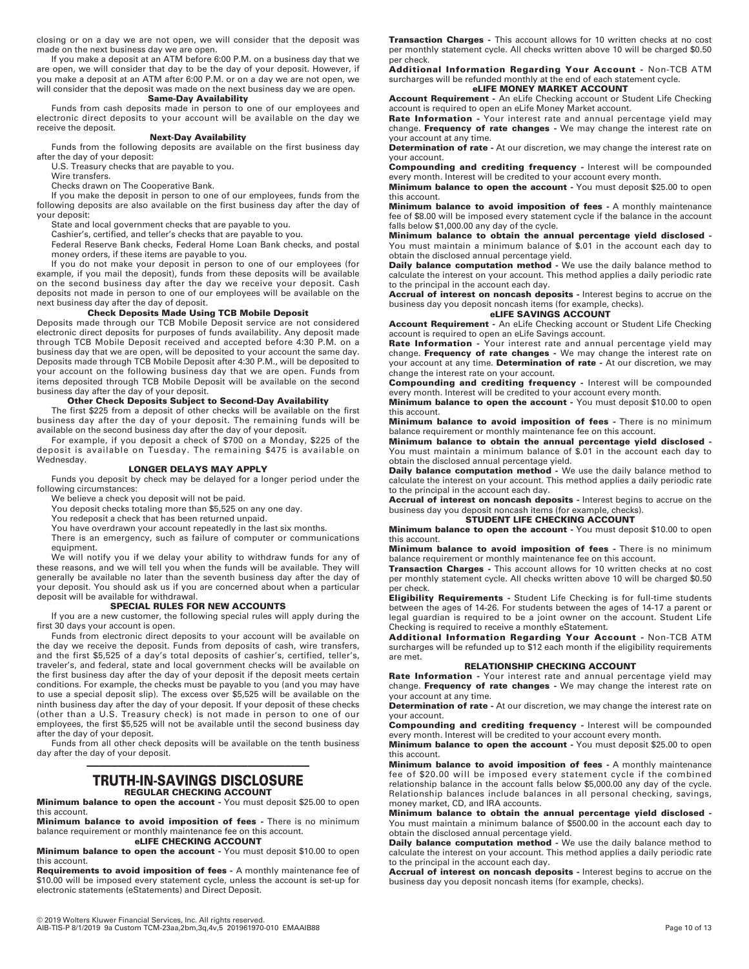closing or on a day we are not open, we will consider that the deposit was made on the next business day we are open.

If you make a deposit at an ATM before 6:00 P.M. on a business day that we are open, we will consider that day to be the day of your deposit. However, if you make a deposit at an ATM after 6:00 P.M. or on a day we are not open, we will consider that the deposit was made on the next business day we are open. **Same-Day Availability**

Funds from cash deposits made in person to one of our employees and electronic direct deposits to your account will be available on the day we receive the deposit.

#### **Next-Day Availability**

Funds from the following deposits are available on the first business day after the day of your deposit:

U.S. Treasury checks that are payable to you.

Wire transfers.

Checks drawn on The Cooperative Bank.

If you make the deposit in person to one of our employees, funds from the following deposits are also available on the first business day after the day of your deposit:

State and local government checks that are payable to you.

Cashier's, certified, and teller's checks that are payable to you.

Federal Reserve Bank checks, Federal Home Loan Bank checks, and postal money orders, if these items are payable to you.

If you do not make your deposit in person to one of our employees (for example, if you mail the deposit), funds from these deposits will be available on the second business day after the day we receive your deposit. Cash deposits not made in person to one of our employees will be available on the next business day after the day of deposit.

#### **Check Deposits Made Using TCB Mobile Deposit**

Deposits made through our TCB Mobile Deposit service are not considered electronic direct deposits for purposes of funds availability. Any deposit made through TCB Mobile Deposit received and accepted before 4:30 P.M. on a business day that we are open, will be deposited to your account the same day. Deposits made through TCB Mobile Deposit after 4:30 P.M., will be deposited to your account on the following business day that we are open. Funds from items deposited through TCB Mobile Deposit will be available on the second business day after the day of your deposit.

#### **Other Check Deposits Subject to Second-Day Availability**

The first \$225 from a deposit of other checks will be available on the first business day after the day of your deposit. The remaining funds will be available on the second business day after the day of your deposit.

For example, if you deposit a check of \$700 on a Monday, \$225 of the deposit is available on Tuesday. The remaining \$475 is available on Wednesday.

#### **LONGER DELAYS MAY APPLY**

Funds you deposit by check may be delayed for a longer period under the following circumstances:

We believe a check you deposit will not be paid.

You deposit checks totaling more than \$5,525 on any one day.

You redeposit a check that has been returned unpaid.

You have overdrawn your account repeatedly in the last six months.

There is an emergency, such as failure of computer or communications equipment.

We will notify you if we delay your ability to withdraw funds for any of these reasons, and we will tell you when the funds will be available. They will generally be available no later than the seventh business day after the day of your deposit. You should ask us if you are concerned about when a particular deposit will be available for withdrawal.

#### **SPECIAL RULES FOR NEW ACCOUNTS**

If you are a new customer, the following special rules will apply during the first 30 days your account is open.

Funds from electronic direct deposits to your account will be available on the day we receive the deposit. Funds from deposits of cash, wire transfers, and the first \$5,525 of a day's total deposits of cashier's, certified, teller's, traveler's, and federal, state and local government checks will be available on the first business day after the day of your deposit if the deposit meets certain conditions. For example, the checks must be payable to you (and you may have to use a special deposit slip). The excess over \$5,525 will be available on the ninth business day after the day of your deposit. If your deposit of these checks (other than a U.S. Treasury check) is not made in person to one of our employees, the first \$5,525 will not be available until the second business day after the day of your deposit.

Funds from all other check deposits will be available on the tenth business day after the day of your deposit.

#### ———————————————————————————————————— **TRUTH-IN-SAVINGS DISCLOSURE REGULAR CHECKING ACCOUNT**

**Minimum balance to open the account -** You must deposit \$25.00 to open this account.

**Minimum balance to avoid imposition of fees -** There is no minimum balance requirement or monthly maintenance fee on this account. **eLIFE CHECKING ACCOUNT** 

**Minimum balance to open the account -** You must deposit \$10.00 to open this account.

**Requirements to avoid imposition of fees -** A monthly maintenance fee of \$10.00 will be imposed every statement cycle, unless the account is set-up for electronic statements (eStatements) and Direct Deposit.

**Transaction Charges -** This account allows for 10 written checks at no cost per monthly statement cycle. All checks written above 10 will be charged \$0.50 per check.

**Additional Information Regarding Your Account -** Non-TCB ATM surcharges will be refunded monthly at the end of each statement cycle. **eLIFE MONEY MARKET ACCOUNT** 

**Account Requirement -** An eLife Checking account or Student Life Checking account is required to open an eLife Money Market account.

**Rate Information -** Your interest rate and annual percentage yield may change. **Frequency of rate changes -** We may change the interest rate on your account at any time.

**Determination of rate -** At our discretion, we may change the interest rate on your account.

**Compounding and crediting frequency -** Interest will be compounded every month. Interest will be credited to your account every month.

**Minimum balance to open the account -** You must deposit \$25.00 to open this account.

**Minimum balance to avoid imposition of fees -** A monthly maintenance fee of \$8.00 will be imposed every statement cycle if the balance in the account falls below \$1,000.00 any day of the cycle.

**Minimum balance to obtain the annual percentage yield disclosed -** You must maintain a minimum balance of \$.01 in the account each day to obtain the disclosed annual percentage yield.

**Daily balance computation method -** We use the daily balance method to calculate the interest on your account. This method applies a daily periodic rate to the principal in the account each day.

**Accrual of interest on noncash deposits -** Interest begins to accrue on the business day you deposit noncash items (for example, checks).

# **eLIFE SAVINGS ACCOUNT**

**Account Requirement -** An eLife Checking account or Student Life Checking account is required to open an eLife Savings account.

**Rate Information -** Your interest rate and annual percentage yield may change. **Frequency of rate changes -** We may change the interest rate on your account at any time. **Determination of rate -** At our discretion, we may change the interest rate on your account.

**Compounding and crediting frequency -** Interest will be compounded every month. Interest will be credited to your account every month. **Minimum balance to open the account -** You must deposit \$10.00 to open

this account. **Minimum balance to avoid imposition of fees -** There is no minimum

balance requirement or monthly maintenance fee on this account.

**Minimum balance to obtain the annual percentage yield disclosed -**  You must maintain a minimum balance of \$.01 in the account each day to obtain the disclosed annual percentage yield.

**Daily balance computation method -** We use the daily balance method to calculate the interest on your account. This method applies a daily periodic rate to the principal in the account each day.

**Accrual of interest on noncash deposits -** Interest begins to accrue on the business day you deposit noncash items (for example, checks).

**STUDENT LIFE CHECKING ACCOUNT** 

**Minimum balance to open the account -** You must deposit \$10.00 to open this account.

**Minimum balance to avoid imposition of fees -** There is no minimum balance requirement or monthly maintenance fee on this account.

**Transaction Charges -** This account allows for 10 written checks at no cost per monthly statement cycle. All checks written above 10 will be charged \$0.50 per check.

**Eligibility Requirements -** Student Life Checking is for full-time students between the ages of 14-26. For students between the ages of 14-17 a parent or legal guardian is required to be a joint owner on the account. Student Life Checking is required to receive a monthly eStatement.

**Additional Information Regarding Your Account -** Non-TCB ATM surcharges will be refunded up to \$12 each month if the eligibility requirements are met.

#### **RELATIONSHIP CHECKING ACCOUNT**

**Rate Information -** Your interest rate and annual percentage yield may change. **Frequency of rate changes -** We may change the interest rate on your account at any time.

**Determination of rate -** At our discretion, we may change the interest rate on your account.

**Compounding and crediting frequency -** Interest will be compounded every month. Interest will be credited to your account every month.

**Minimum balance to open the account -** You must deposit \$25.00 to open this account.

**Minimum balance to avoid imposition of fees -** A monthly maintenance fee of \$20.00 will be imposed every statement cycle if the combined relationship balance in the account falls below \$5,000.00 any day of the cycle. Relationship balances include balances in all personal checking, savings, money market, CD, and IRA accounts.

**Minimum balance to obtain the annual percentage yield disclosed -** You must maintain a minimum balance of \$500.00 in the account each day to obtain the disclosed annual percentage yield.

**Daily balance computation method -** We use the daily balance method to calculate the interest on your account. This method applies a daily periodic rate to the principal in the account each day.

**Accrual of interest on noncash deposits -** Interest begins to accrue on the business day you deposit noncash items (for example, checks).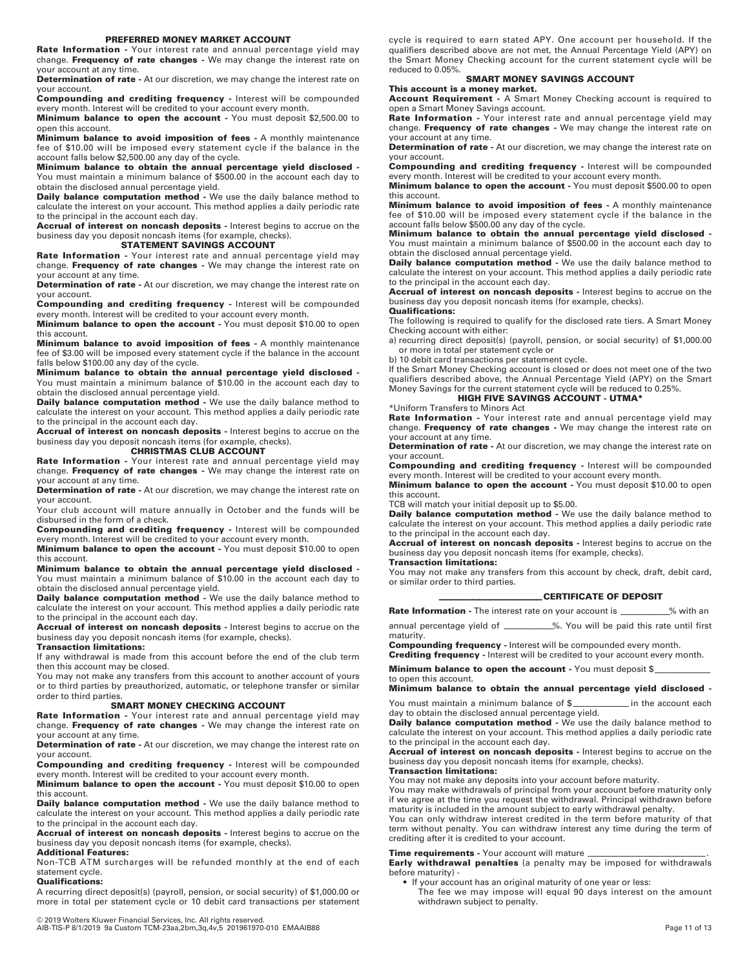#### **PREFERRED MONEY MARKET ACCOUNT**

**Rate Information -** Your interest rate and annual percentage yield may change. **Frequency of rate changes -** We may change the interest rate on your account at any time.

**Determination of rate -** At our discretion, we may change the interest rate on your account.

**Compounding and crediting frequency -** Interest will be compounded every month. Interest will be credited to your account every month.

**Minimum balance to open the account -** You must deposit \$2,500.00 to open this account.

**Minimum balance to avoid imposition of fees -** A monthly maintenance fee of \$10.00 will be imposed every statement cycle if the balance in the account falls below \$2,500.00 any day of the cycle.

**Minimum balance to obtain the annual percentage yield disclosed -** You must maintain a minimum balance of \$500.00 in the account each day to obtain the disclosed annual percentage yield.

**Daily balance computation method -** We use the daily balance method to calculate the interest on your account. This method applies a daily periodic rate to the principal in the account each day.

**Accrual of interest on noncash deposits -** Interest begins to accrue on the business day you deposit noncash items (for example, checks).

### **STATEMENT SAVINGS ACCOUNT**

**Rate Information -** Your interest rate and annual percentage yield may change. **Frequency of rate changes -** We may change the interest rate on your account at any time.

**Determination of rate -** At our discretion, we may change the interest rate on your account.

**Compounding and crediting frequency -** Interest will be compounded every month. Interest will be credited to your account every month.

**Minimum balance to open the account -** You must deposit \$10.00 to open this account.

**Minimum balance to avoid imposition of fees -** A monthly maintenance fee of \$3.00 will be imposed every statement cycle if the balance in the account falls below \$100.00 any day of the cycle.

**Minimum balance to obtain the annual percentage yield disclosed -** You must maintain a minimum balance of \$10.00 in the account each day to obtain the disclosed annual percentage yield.

**Daily balance computation method -** We use the daily balance method to calculate the interest on your account. This method applies a daily periodic rate to the principal in the account each day.

**Accrual of interest on noncash deposits -** Interest begins to accrue on the business day you deposit noncash items (for example, checks).

**CHRISTMAS CLUB ACCOUNT** 

**Rate Information -** Your interest rate and annual percentage yield may change. **Frequency of rate changes -** We may change the interest rate on your account at any time.

**Determination of rate -** At our discretion, we may change the interest rate on your account.

Your club account will mature annually in October and the funds will be disbursed in the form of a check.

**Compounding and crediting frequency -** Interest will be compounded every month. Interest will be credited to your account every month.

**Minimum balance to open the account -** You must deposit \$10.00 to open this account.

**Minimum balance to obtain the annual percentage yield disclosed -** You must maintain a minimum balance of \$10.00 in the account each day to obtain the disclosed annual percentage yield.

**Daily balance computation method -** We use the daily balance method to calculate the interest on your account. This method applies a daily periodic rate to the principal in the account each day.

**Accrual of interest on noncash deposits -** Interest begins to accrue on the business day you deposit noncash items (for example, checks).

#### **Transaction limitations:**

If any withdrawal is made from this account before the end of the club term then this account may be closed.

You may not make any transfers from this account to another account of yours or to third parties by preauthorized, automatic, or telephone transfer or similar order to third parties.

#### **SMART MONEY CHECKING ACCOUNT**

**Rate Information -** Your interest rate and annual percentage yield may change. **Frequency of rate changes -** We may change the interest rate on your account at any time.

**Determination of rate -** At our discretion, we may change the interest rate on your account.

**Compounding and crediting frequency -** Interest will be compounded every month. Interest will be credited to your account every month.

**Minimum balance to open the account -** You must deposit \$10.00 to open this account.

**Daily balance computation method -** We use the daily balance method to calculate the interest on your account. This method applies a daily periodic rate to the principal in the account each day.

**Accrual of interest on noncash deposits -** Interest begins to accrue on the business day you deposit noncash items (for example, checks).

# **Additional Features:**

Non-TCB ATM surcharges will be refunded monthly at the end of each statement cycle.

**Qualifications:** 

A recurring direct deposit(s) (payroll, pension, or social security) of \$1,000.00 or more in total per statement cycle or 10 debit card transactions per statement

© 2019 Wolters Kluwer Financial Services, Inc. All rights reserved. AIB-TIS-P 8/1/2019 9a Custom TCM-23aa,2bm,3q,4v,5 201961970-010 EMAAIB88 Page 11 of 13

cycle is required to earn stated APY. One account per household. If the qualifiers described above are not met, the Annual Percentage Yield (APY) on the Smart Money Checking account for the current statement cycle will be reduced to 0.05%.

#### **SMART MONEY SAVINGS ACCOUNT This account is a money market.**

**Account Requirement -** A Smart Money Checking account is required to open a Smart Money Savings account.

**Rate Information -** Your interest rate and annual percentage yield may change. **Frequency of rate changes -** We may change the interest rate on your account at any time.

**Determination of rate -** At our discretion, we may change the interest rate on your account.

**Compounding and crediting frequency -** Interest will be compounded every month. Interest will be credited to your account every month.

**Minimum balance to open the account -** You must deposit \$500.00 to open this account.

**Minimum balance to avoid imposition of fees -** A monthly maintenance fee of \$10.00 will be imposed every statement cycle if the balance in the account falls below \$500.00 any day of the cycle.

**Minimum balance to obtain the annual percentage yield disclosed -** You must maintain a minimum balance of \$500.00 in the account each day to obtain the disclosed annual percentage yield.

**Daily balance computation method -** We use the daily balance method to calculate the interest on your account. This method applies a daily periodic rate to the principal in the account each day.

**Accrual of interest on noncash deposits -** Interest begins to accrue on the business day you deposit noncash items (for example, checks). **Qualifications:** 

The following is required to qualify for the disclosed rate tiers. A Smart Money

Checking account with either: a) recurring direct deposit(s) (payroll, pension, or social security) of \$1,000.00 or more in total per statement cycle or

b) 10 debit card transactions per statement cycle.

If the Smart Money Checking account is closed or does not meet one of the two qualifiers described above, the Annual Percentage Yield (APY) on the Smart Money Savings for the current statement cycle will be reduced to 0.25%. **HIGH FIVE SAVINGS ACCOUNT - UTMA\*** 

\*Uniform Transfers to Minors Act

**Rate Information -** Your interest rate and annual percentage yield may change. **Frequency of rate changes -** We may change the interest rate on your account at any time.

**Determination of rate** - At our discretion, we may change the interest rate on your account.

**Compounding and crediting frequency -** Interest will be compounded every month. Interest will be credited to your account every month. **Minimum balance to open the account -** You must deposit \$10.00 to open

this account.

TCB will match your initial deposit up to \$5.00.

**Daily balance computation method -** We use the daily balance method to calculate the interest on your account. This method applies a daily periodic rate to the principal in the account each day.

**Accrual of interest on noncash deposits -** Interest begins to accrue on the business day you deposit noncash items (for example, checks). **Transaction limitations:**

You may not make any transfers from this account by check, draft, debit card, or similar order to third parties.

#### **CERTIFICATE OF DEPOSIT**

**Rate Information -** The interest rate on your account is \_\_\_\_\_\_\_\_\_% with an

annual percentage yield of \_\_\_\_\_\_\_\_\_%. You will be paid this rate until first maturity.

**Compounding frequency -** Interest will be compounded every month. **Crediting frequency -** Interest will be credited to your account every month.

**Minimum balance to open the account -** You must deposit \$

### **Minimum balance to obtain the annual percentage yield disclosed -**

You must maintain a minimum balance of \$<br>
<u>
</u>in the account each day to obtain the disclosed annual percentage yield.

**Daily balance computation method -** We use the daily balance method to calculate the interest on your account. This method applies a daily periodic rate to the principal in the account each day.

**Accrual of interest on noncash deposits -** Interest begins to accrue on the business day you deposit noncash items (for example, checks).

# **Transaction limitations:**

You may not make any deposits into your account before maturity. You may make withdrawals of principal from your account before maturity only if we agree at the time you request the withdrawal. Principal withdrawn before

maturity is included in the amount subject to early withdrawal penalty. You can only withdraw interest credited in the term before maturity of that

term without penalty. You can withdraw interest any time during the term of crediting after it is credited to your account.

**Time requirements -** Your account will mature \_\_\_\_\_\_\_\_\_\_\_\_\_\_\_\_\_\_\_\_\_\_\_\_\_\_\_\_\_\_\_\_\_\_<br>**Early withdrawal penalties** (a penalty may be imposed for withdrawals before maturity) -

- If your account has an original maturity of one year or less:
	- The fee we may impose will equal 90 days interest on the amount withdrawn subject to penalty.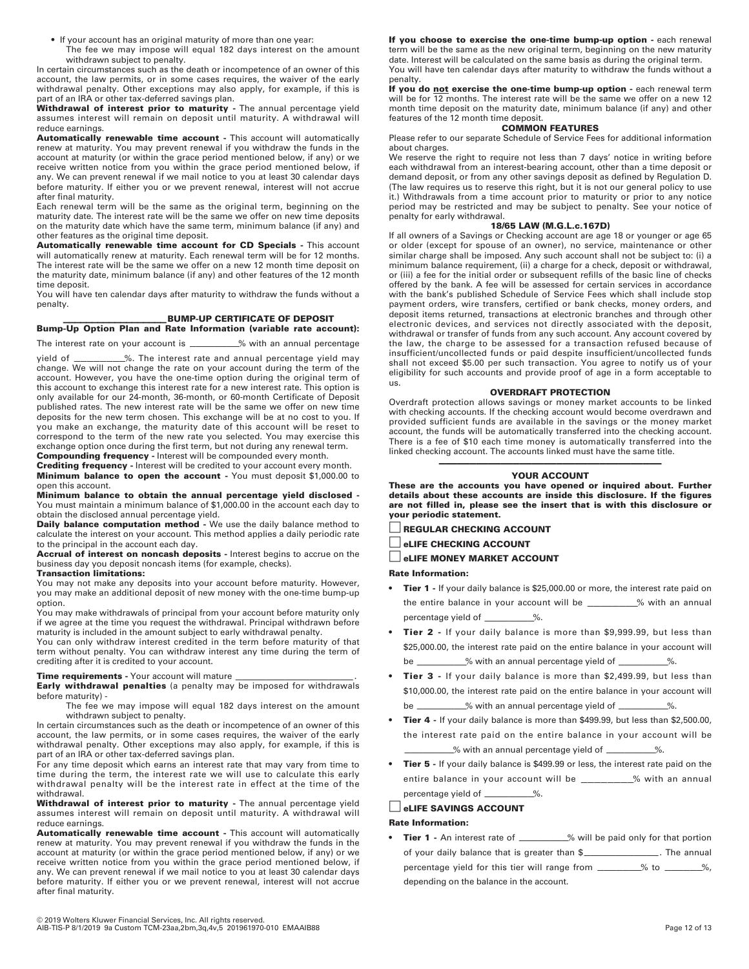- If your account has an original maturity of more than one year:
- The fee we may impose will equal 182 days interest on the amount withdrawn subject to penalty.

In certain circumstances such as the death or incompetence of an owner of this account, the law permits, or in some cases requires, the waiver of the early withdrawal penalty. Other exceptions may also apply, for example, if this is part of an IRA or other tax-deferred savings plan.

**Withdrawal of interest prior to maturity -** The annual percentage yield assumes interest will remain on deposit until maturity. A withdrawal will reduce earnings.

**Automatically renewable time account -** This account will automatically renew at maturity. You may prevent renewal if you withdraw the funds in the account at maturity (or within the grace period mentioned below, if any) or we receive written notice from you within the grace period mentioned below, if any. We can prevent renewal if we mail notice to you at least 30 calendar days before maturity. If either you or we prevent renewal, interest will not accrue after final maturity.

Each renewal term will be the same as the original term, beginning on the maturity date. The interest rate will be the same we offer on new time deposits on the maturity date which have the same term, minimum balance (if any) and other features as the original time deposit.

**Automatically renewable time account for CD Specials -** This account will automatically renew at maturity. Each renewal term will be for 12 months. The interest rate will be the same we offer on a new 12 month time deposit on the maturity date, minimum balance (if any) and other features of the 12 month time deposit.

You will have ten calendar days after maturity to withdraw the funds without a penalty.

#### **BUMP-UP CERTIFICATE OF DEPOSIT**

**Bump-Up Option Plan and Rate Information (variable rate account):**

The interest rate on your account is \_\_\_\_\_\_\_\_\_% with an annual percentage

yield of \_\_\_\_\_\_\_\_\_%. The interest rate and annual percentage yield may change. We will not change the rate on your account during the term of the account. However, you have the one-time option during the original term of this account to exchange this interest rate for a new interest rate. This option is only available for our 24-month, 36-month, or 60-month Certificate of Deposit published rates. The new interest rate will be the same we offer on new time deposits for the new term chosen. This exchange will be at no cost to you. If you make an exchange, the maturity date of this account will be reset to correspond to the term of the new rate you selected. You may exercise this exchange option once during the first term, but not during any renewal term.

**Compounding frequency -** Interest will be compounded every month. **Crediting frequency -** Interest will be credited to your account every month.

**Minimum balance to open the account -** You must deposit \$1,000.00 to open this account.

**Minimum balance to obtain the annual percentage yield disclosed -** You must maintain a minimum balance of \$1,000.00 in the account each day to obtain the disclosed annual percentage yield.

**Daily balance computation method -** We use the daily balance method to calculate the interest on your account. This method applies a daily periodic rate to the principal in the account each day.

**Accrual of interest on noncash deposits -** Interest begins to accrue on the business day you deposit noncash items (for example, checks).

## **Transaction limitations:**

You may not make any deposits into your account before maturity. However, you may make an additional deposit of new money with the one-time bump-up option.

You may make withdrawals of principal from your account before maturity only if we agree at the time you request the withdrawal. Principal withdrawn before maturity is included in the amount subject to early withdrawal penalty.

You can only withdraw interest credited in the term before maturity of that term without penalty. You can withdraw interest any time during the term of crediting after it is credited to your account.

**Time requirements -** Your account will mature \_\_\_\_\_\_\_\_\_\_\_\_\_\_\_\_\_\_\_\_\_\_\_\_\_\_\_\_\_\_\_\_\_\_<br>**Early withdrawal penalties** (a penalty may be imposed for withdrawals before maturity) -

The fee we may impose will equal 182 days interest on the amount withdrawn subject to penalty.

In certain circumstances such as the death or incompetence of an owner of this account, the law permits, or in some cases requires, the waiver of the early withdrawal penalty. Other exceptions may also apply, for example, if this is part of an IRA or other tax-deferred savings plan.

For any time deposit which earns an interest rate that may vary from time to time during the term, the interest rate we will use to calculate this early withdrawal penalty will be the interest rate in effect at the time of the withdrawal.

**Withdrawal of interest prior to maturity -** The annual percentage yield assumes interest will remain on deposit until maturity. A withdrawal will reduce earnings.

**Automatically renewable time account -** This account will automatically renew at maturity. You may prevent renewal if you withdraw the funds in the account at maturity (or within the grace period mentioned below, if any) or we receive written notice from you within the grace period mentioned below, if any. We can prevent renewal if we mail notice to you at least 30 calendar days before maturity. If either you or we prevent renewal, interest will not accrue after final maturity.

© 2019 Wolters Kluwer Financial Services, Inc. All rights reserved. AIB-TIS-P 8/1/2019 9a Custom TCM-23aa,2bm,3q,4v,5 201961970-010 EMAAIB88 Page 12 of 13

**If you choose to exercise the one-time bump-up option -** each renewal term will be the same as the new original term, beginning on the new maturity date. Interest will be calculated on the same basis as during the original term.

You will have ten calendar days after maturity to withdraw the funds without a penalty.

If you do not exercise the one-time bump-up option - each renewal term will be for 12 months. The interest rate will be the same we offer on a new 12 month time deposit on the maturity date, minimum balance (if any) and other features of the 12 month time deposit.

# **COMMON FEATURES**

Please refer to our separate Schedule of Service Fees for additional information about charges.

We reserve the right to require not less than 7 days' notice in writing before each withdrawal from an interest-bearing account, other than a time deposit or demand deposit, or from any other savings deposit as defined by Regulation D. (The law requires us to reserve this right, but it is not our general policy to use it.) Withdrawals from a time account prior to maturity or prior to any notice period may be restricted and may be subject to penalty. See your notice of penalty for early withdrawal.

### **18/65 LAW (M.G.L.c.167D)**

If all owners of a Savings or Checking account are age 18 or younger or age 65 or older (except for spouse of an owner), no service, maintenance or other similar charge shall be imposed. Any such account shall not be subject to: (i) a minimum balance requirement, (ii) a charge for a check, deposit or withdrawal, or (iii) a fee for the initial order or subsequent refills of the basic line of checks offered by the bank. A fee will be assessed for certain services in accordance with the bank's published Schedule of Service Fees which shall include stop payment orders, wire transfers, certified or bank checks, money orders, and deposit items returned, transactions at electronic branches and through other electronic devices, and services not directly associated with the deposit, withdrawal or transfer of funds from any such account. Any account covered by the law, the charge to be assessed for a transaction refused because of insufficient/uncollected funds or paid despite insufficient/uncollected funds shall not exceed \$5.00 per such transaction. You agree to notify us of your eligibility for such accounts and provide proof of age in a form acceptable to us.

#### **OVERDRAFT PROTECTION**

Overdraft protection allows savings or money market accounts to be linked with checking accounts. If the checking account would become overdrawn and provided sufficient funds are available in the savings or the money market account, the funds will be automatically transferred into the checking account. There is a fee of \$10 each time money is automatically transferred into the linked checking account. The accounts linked must have the same title.

#### ———————————————————————————————————— **YOUR ACCOUNT**

**These are the accounts you have opened or inquired about. Further details about these accounts are inside this disclosure. If the figures are not filled in, please see the insert that is with this disclosure or your periodic statement.** 

□ **REGULAR CHECKING ACCOUNT** 

□ **eLIFE CHECKING ACCOUNT** 

□ **eLIFE MONEY MARKET ACCOUNT** 

#### **Rate Information:**

- **Tier 1** If your daily balance is \$25,000.00 or more, the interest rate paid on the entire balance in your account will be \_\_\_\_\_\_\_\_\_% with an annual percentage yield of \_\_\_\_\_\_\_\_\_\_%.
- **Tier 2** If your daily balance is more than \$9,999.99, but less than \$25,000.00, the interest rate paid on the entire balance in your account will  $\frac{1}{2}$  with an annual percentage yield of  $\frac{1}{2}$ %.
- **Tier 3** If your daily balance is more than \$2,499.99, but less than \$10,000.00, the interest rate paid on the entire balance in your account will be \_\_\_\_\_\_\_\_\_\_% with an annual percentage yield of \_\_\_\_\_\_\_\_\_\_%.
- **Tier 4** If your daily balance is more than \$499.99, but less than \$2,500.00, the interest rate paid on the entire balance in your account will be  $\frac{1}{2}$  with an annual percentage yield of  $\frac{1}{2}$ .
- **Tier 5** If your daily balance is \$499.99 or less, the interest rate paid on the entire balance in your account will be \_\_\_\_\_\_\_\_% with an annual percentage yield of \_\_\_\_\_\_\_\_\_\_%.

□ **eLIFE SAVINGS ACCOUNT** 

#### **Rate Information:**

**Tier 1** - An interest rate of \_\_\_\_\_\_\_\_\_% will be paid only for that portion of your daily balance that is greater than \$\_\_\_\_\_\_\_\_\_\_\_\_\_\_\_\_. The annual percentage yield for this tier will range from \_\_\_\_\_\_\_% to \_\_\_\_\_\_%, depending on the balance in the account.